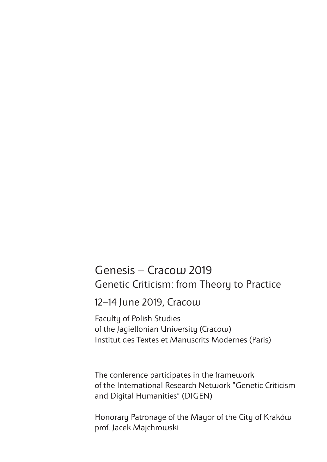## Genesis – Cracow 2019 Genetic Criticism: from Theory to Practice

12–14 June 2019, Cracow

Faculty of Polish Studies of the Jagiellonian University (Cracow) Institut des Textes et Manuscrits Modernes (Paris)

The conference participates in the framework of the International Research Network "Genetic Criticism and Digital Humanities" (DIGEN)

Honorary Patronage of the Mayor of the City of Kraków prof. Jacek Majchrowski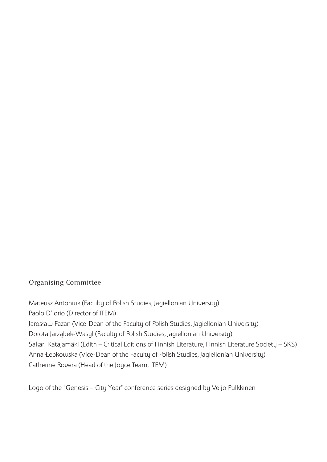#### Organising Committee

Mateusz Antoniuk (Faculty of Polish Studies, Jagiellonian University) Paolo D'Iorio (Director of ITEM) Jarosław Fazan (Vice-Dean of the Faculty of Polish Studies, Jagiellonian University) Dorota Jarząbek-Wasyl (Faculty of Polish Studies, Jagiellonian University) Sakari Katajamäki (Edith – Critical Editions of Finnish Literature, Finnish Literature Society – SKS) Anna Łebkowska (Vice-Dean of the Faculty of Polish Studies, Jagiellonian University) Catherine Rovera (Head of the Joyce Team, ITEM)

Logo of the "Genesis – City Year" conference series designed by Veijo Pulkkinen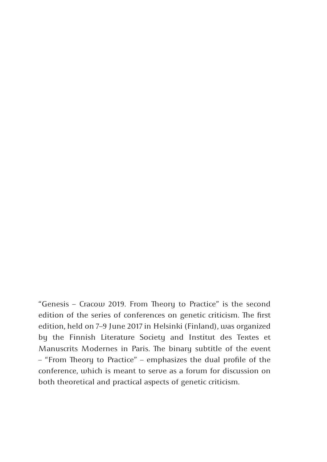"Genesis – Cracow 2019. From Theory to Practice" is the second edition of the series of conferences on genetic criticism. The first edition, held on 7–9 June 2017 in Helsinki (Finland), was organized by the Finnish Literature Society and Institut des Textes et Manuscrits Modernes in Paris. The binary subtitle of the event – "From Theory to Practice" – emphasizes the dual profile of the conference, which is meant to serve as a forum for discussion on both theoretical and practical aspects of genetic criticism.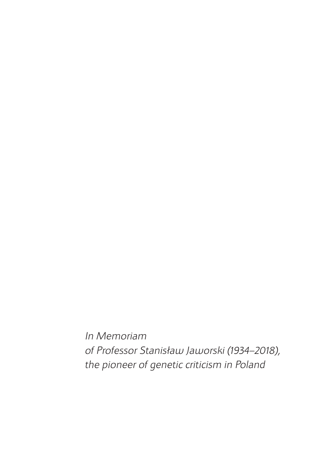*In Memoriam of Professor Stanisław Jaworski (1934–2018), the pioneer of genetic criticism in Poland*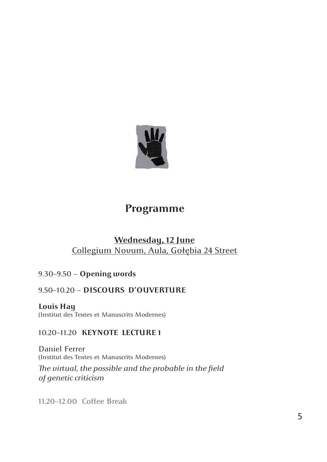

## **Programme**

#### **Wednesday, 12 June** Collegium Novum, Aula, Gołębia 24 Street

#### 9.30–9.50 – **Opening words**

#### 9.50–10.20 – **DISCOURS D'OUVERTURE**

**Louis Hay**  (Institut des Textes et Manuscrits Modernes)

#### 10.20–11.20 **KEYNOTE LECTURE 1**

Daniel Ferrer (Institut des Textes et Manuscrits Modernes) *The virtual, the possible and the probable in the field of genetic criticism* 

11.20–12.00 Coffee Break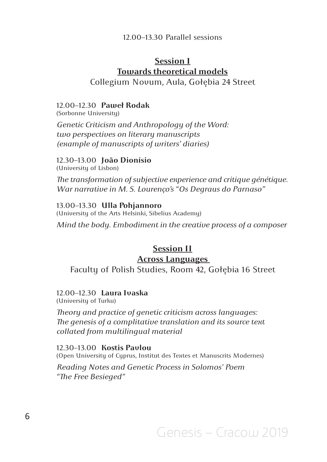#### 12.00–13.30 Parallel sessions

#### **Session I Towards theoretical models** Collegium Novum, Aula, Gołębia 24 Street

#### 12.00–12.30 **Paweł Rodak**

(Sorbonne University) *Genetic Criticism and Anthropology of the Word: two perspectives on literary manuscripts (example of manuscripts of writers' diaries)*

#### 12.30–13.00 **João Dionísio**

(University of Lisbon)

*The transformation of subjective experience and critique génétique. War narrative in M. S. Lourenço's "Os Degraus do Parnaso"*

#### 13.00–13.30 **Ulla Pohjannoro**

(University of the Arts Helsinki, Sibelius Academy) *Mind the body. Embodiment in the creative process of a composer* 

#### **Session II Across Languages**

Faculty of Polish Studies, Room 42, Gołębia 16 Street

#### 12.00–12.30 **Laura Ivaska**

(University of Turku)

*Theory and practice of genetic criticism across languages: The genesis of a complitative translation and its source text collated from multilingual material*

12.30–13.00 **Kostis Pavlou**  (Open University of Cyprus, Institut des Textes et Manuscrits Modernes)

*Reading Notes and Genetic Process in Solomos' Poem "The Free Besieged"*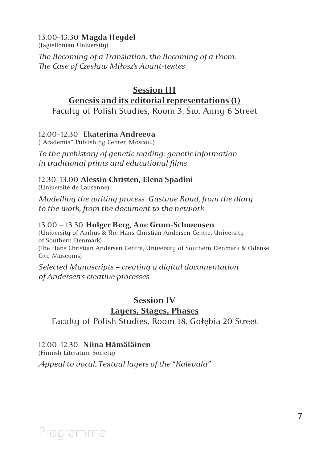#### 13.00–13.30 **Magda Heydel**

(Jagiellonian University) *The Becoming of a Translation, the Becoming of a Poem. The Case of Czesław Miłosz's Avant-textes*

#### **Session III Genesis and its editorial representations (1)**

Faculty of Polish Studies, Room 3, Św. Anny 6 Street

#### 12.00–12.30 **Ekaterina Andreeva**

("Academia" Publishing Center, Moscow)

*To the prehistory of genetic reading: genetic information in traditional prints and educational films*

#### 12.30–13.00 **Alessio Christen**, **Elena Spadini**

(Université de Lausanne)

*Modelling the writing process. Gustave Roud, from the diary to the work, from the document to the network*

#### 13.00 – 13.30 **Holger Berg**, **Ane Grum-Schwensen**

(University of Aarhus & The Hans Christian Andersen Centre, University of Southern Denmark) (The Hans Christian Andersen Centre, University of Southern Denmark & Odense City Museums)

*Selected Manuscripts – creating a digital documentation of Andersen's creative processes* 

#### **Session IV Layers, Stages, Phases**

Faculty of Polish Studies, Room 18, Gołębia 20 Street

#### 12.00–12.30 **Niina Hämäläinen**

(Finnish Literature Society)

*Appeal to vocal. Textual layers of the "Kalevala"*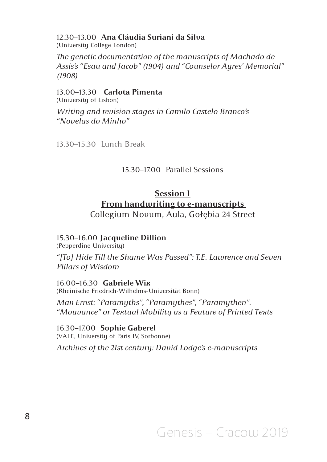#### 12.30–13.00 **Ana Cláudia Suriani da Silva**

(University College London)

*The genetic documentation of the manuscripts of Machado de Assis's "Esau and Jacob" (1904) and "Counselor Ayres' Memorial" (1908)*

13.00–13.30 **Carlota Pimenta**  (University of Lisbon)

*Writing and revision stages in Camilo Castelo Branco's "Novelas do Minho"*

13.30–15.30 Lunch Break

#### 15.30–17.00 Parallel Sessions

### **Session I**

#### **From handwriting to e-manuscripts**

Collegium Novum, Aula, Gołębia 24 Street

#### 15.30–16.00 **Jacqueline Dillion**

(Pepperdine University)

*"[To] Hide Till the Shame Was Passed": T.E. Lawrence and Seven Pillars of Wisdom* 

16.00–16.30 **Gabriele Wix** (Rheinische Friedrich-Wilhelms-Universität Bonn)

*Max Ernst: "Paramyths", "Paramythes", "Paramythen". "Mouvance" or Textual Mobility as a Feature of Printed Texts*

16.30–17.00 **Sophie Gaberel**  (VALE, University of Paris IV, Sorbonne)

*Archives of the 21st century: David Lodge's e-manuscripts*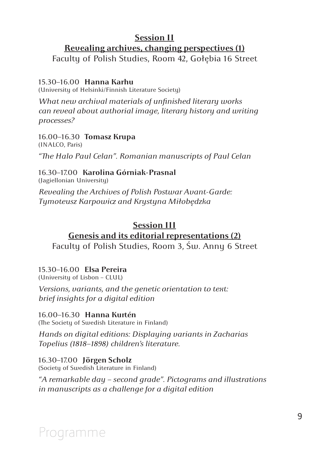#### **Session II**

#### **Revealing archives, changing perspectives (1)**

Faculty of Polish Studies, Room 42, Gołębia 16 Street

#### 15.30–16.00 **Hanna Karhu**

(University of Helsinki/Finnish Literature Society)

*What new archival materials of unfinished literary works can reveal about authorial image, literary history and writing processes?*

16.00–16.30 **Tomasz Krupa** (INALCO, Paris)

*"The Halo Paul Celan". Romanian manuscripts of Paul Celan*

#### 16.30–17.00 **Karolina Górniak-Prasnal**

(Jagiellonian University)

*Revealing the Archives of Polish Postwar Avant-Garde: Tymoteusz Karpowicz and Krystyna Miłobędzka* 

#### **Session III**

#### **Genesis and its editorial representations (2)**

Faculty of Polish Studies, Room 3, Św. Anny 6 Street

#### 15.30–16.00 **Elsa Pereira**

(University of Lisbon – CLUL)

*Versions, variants, and the genetic orientation to text: brief insights for a digital edition*

#### 16.00–16.30 **Hanna Kurtén**

(The Society of Swedish Literature in Finland)

*Hands on digital editions: Displaying variants in Zacharias Topelius (1818–1898) children's literature.*

16.30–17.00 **Jörgen Scholz**  (Society of Swedish Literature in Finland)

*"A remarkable day – second grade". Pictograms and illustrations in manuscripts as a challenge for a digital edition*

## Programme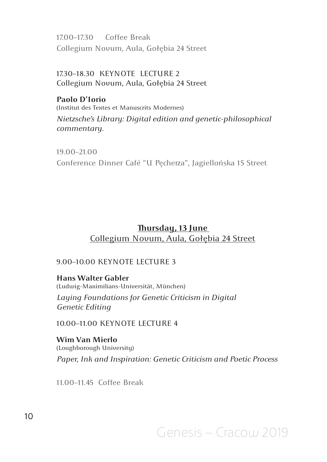17.00–17.30 Coffee Break Collegium Novum, Aula, Gołębia 24 Street

17.30–18.30 KEYNOTE LECTURE 2 Collegium Novum, Aula, Gołębia 24 Street

#### **Paolo D'Iorio**

(Institut des Textes et Manuscrits Modernes)

*Nietzsche's Library: Digital edition and genetic-philosophical commentary.*

19.00–21.00 Conference Dinner Café "U Pęcherza", Jagiellońska 15 Street

#### **Thursday, 13 June**  Collegium Novum, Aula, Gołębia 24 Street

#### 9.00–10.00 KEYNOTE LECTURE 3

**Hans Walter Gabler** (Ludwig-Maximilians-Universität, München) *Laying Foundations for Genetic Criticism in Digital Genetic Editing*

10.00–11.00 KEYNOTE LECTURE 4

**Wim Van Mierlo** (Loughborough University) *Paper, Ink and Inspiration: Genetic Criticism and Poetic Process*

11.00–11.45 Coffee Break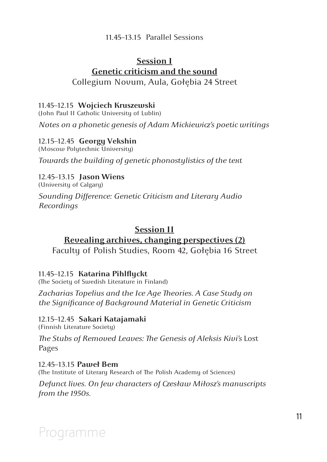#### 11.45–13.15 Parallel Sessions

#### **Session I Genetic criticism and the sound** Collegium Novum, Aula, Gołębia 24 Street

#### 11.45–12.15 **Wojciech Kruszewski**

(John Paul II Catholic University of Lublin) *Notes on a phonetic genesis of Adam Mickiewicz's poetic writings*

#### 12.15–12.45 **Georgy Vekshin**

(Moscow Polytechnic University) *Towards the building of genetic phonostylistics of the text*

#### 12.45–13.15 **Jason Wiens**

(University of Calgary) *Sounding Difference: Genetic Criticism and Literary Audio Recordings* 

#### **Session II**

#### **Revealing archives, changing perspectives (2)** Faculty of Polish Studies, Room 42, Gołębia 16 Street

11.45–12.15 **Katarina Pihlflyckt** (The Society of Swedish Literature in Finland)

*Zacharias Topelius and the Ice Age Theories. A Case Study on the Significance of Background Material in Genetic Criticism*

## 12.15–12.45 **Sakari Katajamaki** (Finnish Literature Society)

*The Stubs of Removed Leaves: The Genesis of Aleksis Kivi's* Lost Pages

12.45–13.15 **Paweł Bem** (The Institute of Literary Research of The Polish Academy of Sciences)

*Defunct lives. On few characters of Czesław Miłosz's manuscripts from the 1950s.*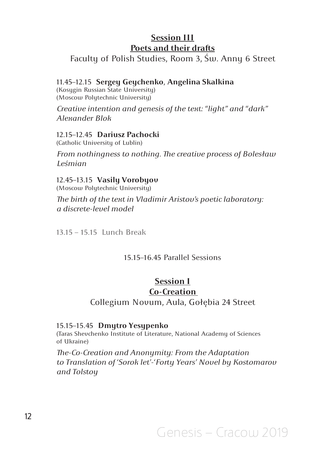#### **Session III Poets and their drafts**

Faculty of Polish Studies, Room 3, Św. Anny 6 Street

#### 11.45–12.15 **Sergey Geychenko**, **Angelina Skalkina**

(Kosygin Russian State University) (Moscow Polytechnic University)

*Creative intention and genesis of the text: "light" and "dark" Alexander Blok*

#### 12.15–12.45 **Dariusz Pachocki**

(Catholic University of Lublin)

*From nothingness to nothing. The creative process of Bolesław Leśmian*

### 12.45–13.15 **Vasily Vorobyov**

(Moscow Polytechnic University)

*The birth of the text in Vladimir Aristov's poetic laboratory: a discrete-level model*

13.15 – 15.15 Lunch Break

#### 15.15–16.45 Parallel Sessions

#### **Session I**

#### **Co-Creation**

Collegium Novum, Aula, Gołębia 24 Street

#### 15.15–15.45 **Dmytro Yesypenko**

(Taras Shevchenko Institute of Literature, National Academy of Sciences of Ukraine)

*The-Co-Creation and Anonymity: From the Adaptation to Translation of 'Sorok let'-'Forty Years' Novel by Kostomarov and Tolstoy*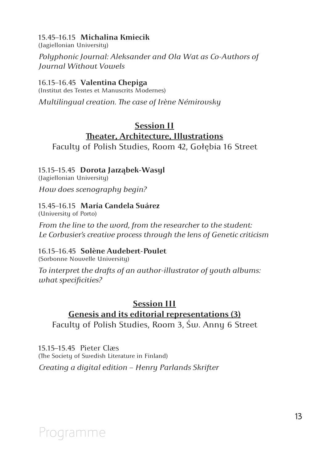#### 15.45–16.15 **Michalina Kmiecik**

(Jagiellonian University)

*Polyphonic Journal: Aleksander and Ola Wat as Co-Authors of Journal Without Vowels*

#### 16.15–16.45 **Valentina Chepiga**

(Institut des Textes et Manuscrits Modernes)

*Multilingual creation. The case of Irène Némirovsky*

#### **Session II Theater, Architecture, Illustrations**

Faculty of Polish Studies, Room 42, Gołębia 16 Street

#### 15.15–15.45 **Dorota Jarząbek-Wasyl**

(Jagiellonian University)

*How does scenography begin?* 

#### 15.45–16.15 **María Candela Suárez**

(University of Porto)

*From the line to the word, from the researcher to the student: Le Corbusier's creative process through the lens of Genetic criticism*

#### 16.15–16.45 **Solène Audebert-Poulet**

(Sorbonne Nouvelle University)

*To interpret the drafts of an author-illustrator of youth albums: what specificities?*

#### **Session III Genesis and its editorial representations (3)** Faculty of Polish Studies, Room 3, Św. Anny 6 Street

15.15–15.45 Pieter Claes (The Society of Swedish Literature in Finland)

*Creating a digital edition – Henry Parlands Skrifter*

## Programme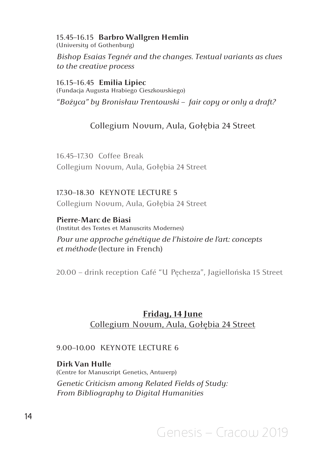15.45–16.15 **Barbro Wallgren Hemlin** (University of Gothenburg)

*Bishop Esaias Tegnér and the changes. Textual variants as clues to the creative process* 

16.15–16.45 **Emilia Lipiec**

(Fundacja Augusta Hrabiego Cieszkowskiego) *"Bożyca" by Bronisław Trentowski – fair copy or only a draft?* 

#### Collegium Novum, Aula, Gołębia 24 Street

16.45–17.30 Coffee Break Collegium Novum, Aula, Gołębia 24 Street

17.30–18.30 KEYNOTE LECTURE 5 Collegium Novum, Aula, Gołębia 24 Street

**Pierre-Marc de Biasi**  (Institut des Textes et Manuscrits Modernes)

*Pour une approche génétique de l'histoire de l'art: concepts et méthode* (lecture in French)

20.00 – drink reception Café "U Pęcherza", Jagiellońska 15 Street

#### **Friday, 14 June** Collegium Novum, Aula, Gołębia 24 Street

#### 9.00–10.00 KEYNOTE LECTURE 6

**Dirk Van Hulle**  (Centre for Manuscript Genetics, Antwerp) *Genetic Criticism among Related Fields of Study: From Bibliography to Digital Humanities*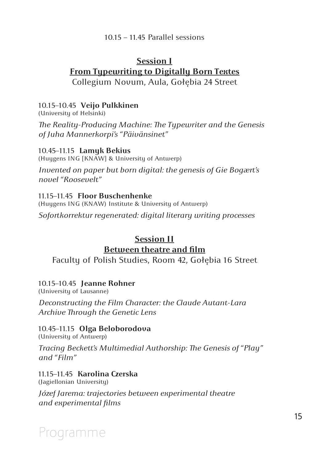#### 10.15 – 11.45 Parallel sessions

#### **Session I**

#### **From Typewriting to Digitally Born Textes**

Collegium Novum, Aula, Gołębia 24 Street

#### 10.15–10.45 **Veijo Pulkkinen**

(University of Helsinki)

*The Reality-Producing Machine: The Typewriter and the Genesis of Juha Mannerkorpi's "Päivänsinet"*

#### 10.45–11.15 **Lamyk Bekius**

(Huygens ING [KNAW] & University of Antwerp)

*Invented on paper but born digital: the genesis of Gie Bogaert's novel "Roosevelt"* 

#### 11.15–11.45 **Floor Buschenhenke**

(Huygens ING (KNAW) Institute & University of Antwerp) *Sofortkorrektur regenerated: digital literary writing processes*

#### **Session II Between theatre and film**

Faculty of Polish Studies, Room 42, Gołębia 16 Street

#### 10.15–10.45 **Jeanne Rohner**

(University of Lausanne)

*Deconstructing the Film Character: the Claude Autant-Lara Archive Through the Genetic Lens*

#### 10.45–11.15 **Olga Beloborodova**

(University of Antwerp)

*Tracing Beckett's Multimedial Authorship: The Genesis of "Play" and "Film"*

#### 11.15–11.45 **Karolina Czerska**

(Jagiellonian University)

*Józef Jarema: trajectories between experimental theatre and experimental films*

## Programme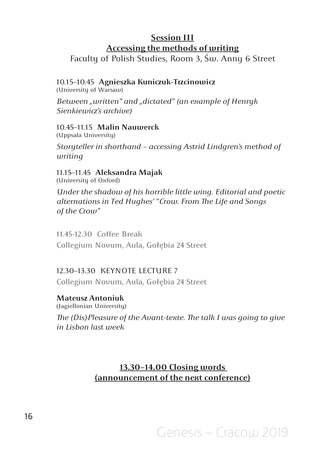#### **Session III Accessing the methods of writing**

Faculty of Polish Studies, Room 3, Św. Anny 6 Street

#### 10.15–10.45 **Agnieszka Kuniczuk-Trzcinowicz**

(University of Warsaw)

*Between "written" and "dictated" (an example of Henryk Sienkiewicz's archive)*

10.45–11.15 **Malin Nauwerck** (Uppsala University)

*Storyteller in shorthand – accessing Astrid Lindgren's method of writing*

11.15–11.45 **Aleksandra Majak** (University of Oxford)

*Under the shadow of his horrible little wing. Editorial and poetic alternations in Ted Hughes' "Crow. From The Life and Songs of the Crow"*

11.45-12.30 Coffee Break Collegium Novum, Aula, Gołębia 24 Street

#### 12.30–13.30 KEYNOTE LECTURE 7

Collegium Novum, Aula, Gołębia 24 Street

**Mateusz Antoniuk**  (Jagiellonian University)

*The (Dis)Pleasure of the Avant-texte. The talk I was going to give in Lisbon last week* 

#### **13.30–14.00 Closing words (announcement of the next conference)**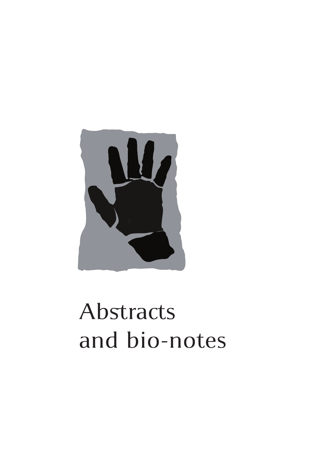

# Abstracts and bio-notes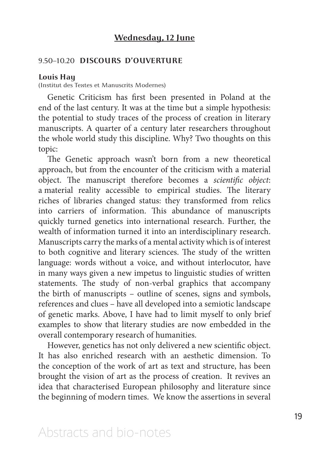#### **Wednesday, 12 June**

#### 9.50–10.20 **DISCOURS D'OUVERTURE**

#### **Louis Hay**

(Institut des Textes et Manuscrits Modernes)

Genetic Criticism has first been presented in Poland at the end of the last century. It was at the time but a simple hypothesis: the potential to study traces of the process of creation in literary manuscripts. A quarter of a century later researchers throughout the whole world study this discipline. Why? Two thoughts on this topic:

The Genetic approach wasn't born from a new theoretical approach, but from the encounter of the criticism with a material object. The manuscript therefore becomes a *scientific object*: a material reality accessible to empirical studies. The literary riches of libraries changed status: they transformed from relics into carriers of information. This abundance of manuscripts quickly turned genetics into international research. Further, the wealth of information turned it into an interdisciplinary research. Manuscripts carry the marks of a mental activity which is of interest to both cognitive and literary sciences. The study of the written language: words without a voice, and without interlocutor, have in many ways given a new impetus to linguistic studies of written statements. The study of non-verbal graphics that accompany the birth of manuscripts – outline of scenes, signs and symbols, references and clues – have all developed into a semiotic landscape of genetic marks. Above, I have had to limit myself to only brief examples to show that literary studies are now embedded in the overall contemporary research of humanities.

However, genetics has not only delivered a new scientific object. It has also enriched research with an aesthetic dimension. To the conception of the work of art as text and structure, has been brought the vision of art as the process of creation. It revives an idea that characterised European philosophy and literature since the beginning of modern times. We know the assertions in several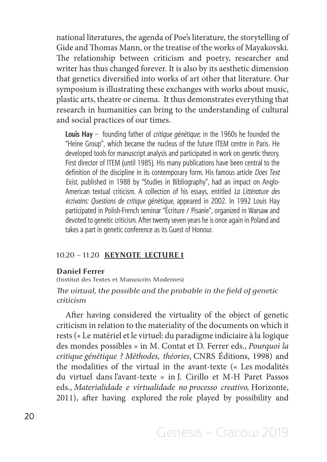national literatures, the agenda of Poe's literature, the storytelling of Gide and Thomas Mann, or the treatise of the works of Mayakovski. The relationship between criticism and poetry, researcher and writer has thus changed forever. It is also by its aesthetic dimension that genetics diversified into works of art other that literature. Our symposium is illustrating these exchanges with works about music, plastic arts, theatre or cinema. It thus demonstrates everything that research in humanities can bring to the understanding of cultural and social practices of our times.

**Louis Hay** – founding father of *critique génétique*; in the 1960s he founded the "Heine Group", which became the nucleus of the future ITEM centre in Paris. He developed tools for manuscript analysis and participated in work on genetic theory. First director of ITEM (until 1985). His many publications have been central to the definition of the discipline in its contemporary form. His famous article *Does Text Exist*, published in 1988 by "Studies in Bibliography", had an impact on Anglo-American textual criticism. A collection of his essays, entitled *La Littérature des écrivains: Questions de critique génétique*, appeared in 2002. In 1992 Louis Hay participated in Polish-French seminar "Écriture / Pisanie", organized in Warsaw and devoted to genetic criticism. After twenty seven years he is once again in Poland and takes a part in genetic conference as its Guest of Honour.

#### 10.20 – 11.20 **KEYNOTE LECTURE 1**

#### **Daniel Ferrer**

(Institut des Textes et Manuscrits Modernes)

#### *The virtual, the possible and the probable in the field of genetic criticism*

After having considered the virtuality of the object of genetic criticism in relation to the materiality of the documents on which it rests (« Le matériel et le virtuel: du paradigme indiciaire à la logique des mondes possibles » in M. Contat et D. Ferrer eds., *Pourquoi la critique génétique ? Méthodes, théories*, CNRS Éditions, 1998) and the modalities of the virtual in the avant-texte (« Les modalités du virtuel dans l'avant-texte » in J. Cirillo et M-H Paret Passos eds., *Materialidade e virtualidade no processo creativo,* Horizonte, 2011), after having explored the role played by possibility and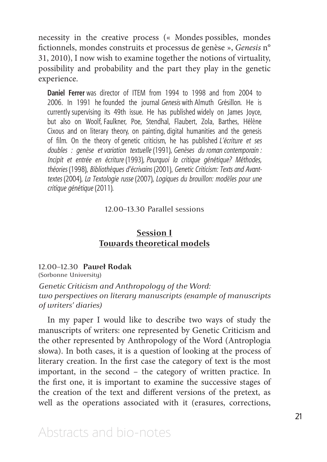necessity in the creative process (« Mondes possibles, mondes fictionnels, mondes construits et processus de genèse », *Genesis* n° 31, 2010), I now wish to examine together the notions of virtuality, possibility and probability and the part they play in the genetic experience.

**Daniel Ferrer** was director of ITEM from 1994 to 1998 and from 2004 to 2006. In 1991 he founded the journal *Genesis* with Almuth Grésillon. He is currently supervising its 49th issue. He has published widely on James Joyce, but also on Woolf, Faulkner, Poe, Stendhal, Flaubert, Zola, Barthes, Hélène Cixous and on literary theory, on painting, digital humanities and the genesis of film. On the theory of genetic criticism, he has published *L'écriture et ses doubles : genèse et variation textuelle* (1991), *Genèses du roman contemporain : Incipit et entrée en écriture* (1993), *Pourquoi la critique génétique? Méthodes, théories* (1998), *Bibliothèques d'écrivains* (2001), *Genetic Criticism: Texts and Avanttextes* (2004), *La Textologie russe* (2007), *Logiques du brouillon: modèles pour une critique génétique* (2011).

#### 12.00–13.30 Parallel sessions

#### **Session I Towards theoretical models**

#### 12.00–12.30 **Paweł Rodak**

(Sorbonne University)

*Genetic Criticism and Anthropology of the Word: two perspectives on literary manuscripts (example of manuscripts of writers' diaries)*

In my paper I would like to describe two ways of study the manuscripts of writers: one represented by Genetic Criticism and the other represented by Anthropology of the Word (Antroplogia słowa). In both cases, it is a question of looking at the process of literary creation. In the first case the category of text is the most important, in the second – the category of written practice. In the first one, it is important to examine the successive stages of the creation of the text and different versions of the pretext, as well as the operations associated with it (erasures, corrections,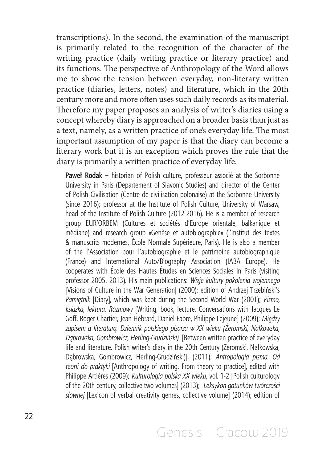transcriptions). In the second, the examination of the manuscript is primarily related to the recognition of the character of the writing practice (daily writing practice or literary practice) and its functions. The perspective of Anthropology of the Word allows me to show the tension between everyday, non-literary written practice (diaries, letters, notes) and literature, which in the 20th century more and more often uses such daily records as its material. Therefore my paper proposes an analysis of writer's diaries using a concept whereby diary is approached on a broader basis than just as a text, namely, as a written practice of one's everyday life. The most important assumption of my paper is that the diary can become a literary work but it is an exception which proves the rule that the diary is primarily a written practice of everyday life.

Paweł Rodak – historian of Polish culture, professeur associé at the Sorbonne University in Paris (Departement of Slavonic Studies) and director of the Center of Polish Civilisation (Centre de civilisation polonaise) at the Sorbonne University (since 2016); professor at the Institute of Polish Culture, University of Warsaw, head of the Institute of Polish Culture (2012-2016). He is a member of research group EUR'ORBEM (Cultures et sociétés d'Europe orientale, balkanique et médiane) and research group «Genèse et autobiographie» (l'Institut des textes & manuscrits modernes, École Normale Supérieure, Paris). He is also a member of the l'Association pour l'autobiographie et le patrimoine autobiographique (France) and International Auto/Biography Association (IABA Europe). He cooperates with École des Hautes Études en Sciences Sociales in Paris (visiting professor 2005, 2013). His main publications: *Wizje kultury pokolenia wojennego* [Visions of Culture in the War Generation] (2000); edition of Andrzej Trzebiński's *Pamiętnik* [Diary], which was kept during the Second World War (2001); *Pismo, książka, lektura. Rozmowy* [Writing, book, lecture. Conversations with Jacques Le Goff, Roger Chartier, Jean Hébrard, Daniel Fabre, Philippe Lejeune] (2009); *Między zapisem a literaturą. Dziennik polskiego pisarza w XX wieku (Żeromski, Nałkowska, Dąbrowska, Gombrowicz, Herling-Grudziński)* [Between written practice of everyday life and literature. Polish writer's diary in the 20th Century (Żeromski, Nałkowska, Dąbrowska, Gombrowicz, Herling-Grudziński)], (2011); *Antropologia pisma. Od teorii do praktyki* [Anthropology of writing. From theory to practice], edited with Philippe Artières (2009); *Kulturologia polska XX wieku*, vol. 1-2 [Polish culturology of the 20th century, collective two volumes] (2013); *Leksykon gatunków twórczości słownej* [Lexicon of verbal creativity genres, collective volume] (2014); edition of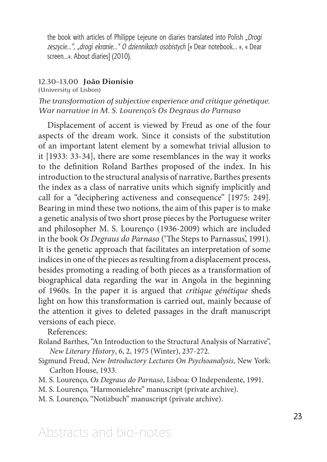the book with articles of Philippe Lejeune on diaries translated into Polish *"Drogi zeszycie…", "drogi ekranie..." O dziennikach osobistych* [« Dear notebook… », « Dear screen…». About diaries] (2010).

#### 12.30–13.00 **João Dionísio**

(University of Lisbon)

#### *The transformation of subjective experience and critique génetique. War narrative in M. S. Lourenço's Os Degraus do Parnaso*

Displacement of accent is viewed by Freud as one of the four aspects of the dream work. Since it consists of the substitution of an important latent element by a somewhat trivial allusion to it [1933: 33-34], there are some resemblances in the way it works to the definition Roland Barthes proposed of the index. In his introduction to the structural analysis of narrative, Barthes presents the index as a class of narrative units which signify implicitly and call for a "deciphering activeness and consequence" [1975: 249]. Bearing in mind these two notions, the aim of this paper is to make a genetic analysis of two short prose pieces by the Portuguese writer and philosopher M. S. Lourenço (1936-2009) which are included in the book *Os Degraus do Parnaso* ('The Steps to Parnassus', 1991). It is the genetic approach that facilitates an interpretation of some indices in one of the pieces as resulting from a displacement process, besides promoting a reading of both pieces as a transformation of biographical data regarding the war in Angola in the beginning of 1960s. In the paper it is argued that *critique génétique* sheds light on how this transformation is carried out, mainly because of the attention it gives to deleted passages in the draft manuscript versions of each piece.

References:

- Roland Barthes, "An Introduction to the Structural Analysis of Narrative", *New Literary History*, 6, 2, 1975 (Winter), 237-272.
- Sigmund Freud, *New Introductory Lectures On Psychoanalysis*, New York: Carlton House, 1933.
- M. S. Lourenço, *Os Degraus do Parnaso*, Lisboa: O Independente, 1991.
- M. S. Lourenço, "Harmonielehre" manuscript (private archive).
- M. S. Lourenço, "Notizbuch" manuscript (private archive).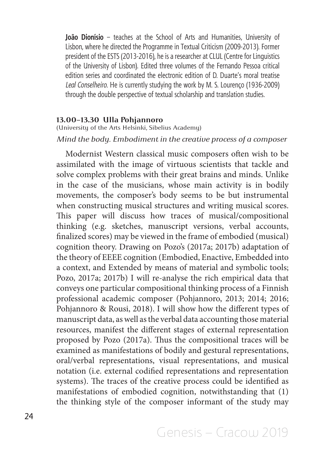**João Dionísio** – teaches at the School of Arts and Humanities, University of Lisbon, where he directed the Programme in Textual Criticism (2009-2013). Former president of the ESTS (2013-2016), he is a researcher at CLUL (Centre for Linguistics of the University of Lisbon). Edited three volumes of the Fernando Pessoa critical edition series and coordinated the electronic edition of D. Duarte's moral treatise *Leal Conselheiro*. He is currently studying the work by M. S. Lourenço (1936-2009) through the double perspective of textual scholarship and translation studies.

#### **13.00–13.30 Ulla Pohjannoro**

(University of the Arts Helsinki, Sibelius Academy)

#### *Mind the body. Embodiment in the creative process of a composer*

Modernist Western classical music composers often wish to be assimilated with the image of virtuous scientists that tackle and solve complex problems with their great brains and minds. Unlike in the case of the musicians, whose main activity is in bodily movements, the composer's body seems to be but instrumental when constructing musical structures and writing musical scores. This paper will discuss how traces of musical/compositional thinking (e.g. sketches, manuscript versions, verbal accounts, finalized scores) may be viewed in the frame of embodied (musical) cognition theory. Drawing on Pozo's (2017a; 2017b) adaptation of the theory of EEEE cognition (Embodied, Enactive, Embedded into a context, and Extended by means of material and symbolic tools; Pozo, 2017a; 2017b) I will re-analyse the rich empirical data that conveys one particular compositional thinking process of a Finnish professional academic composer (Pohjannoro, 2013; 2014; 2016; Pohjannoro & Rousi, 2018). I will show how the different types of manuscript data, as well as the verbal data accounting those material resources, manifest the different stages of external representation proposed by Pozo (2017a). Thus the compositional traces will be examined as manifestations of bodily and gestural representations, oral/verbal representations, visual representations, and musical notation (i.e. external codified representations and representation systems). The traces of the creative process could be identified as manifestations of embodied cognition, notwithstanding that (1) the thinking style of the composer informant of the study may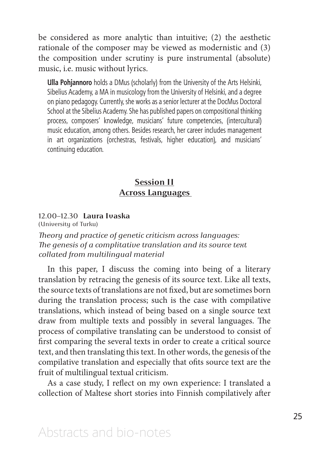be considered as more analytic than intuitive; (2) the aesthetic rationale of the composer may be viewed as modernistic and (3) the composition under scrutiny is pure instrumental (absolute) music, i.e. music without lyrics.

**Ulla Pohjannoro** holds a DMus (scholarly) from the University of the Arts Helsinki, Sibelius Academy, a MA in musicology from the University of Helsinki, and a degree on piano pedagogy. Currently, she works as a senior lecturer at the DocMus Doctoral School at the Sibelius Academy. She has published papers on compositional thinking process, composers' knowledge, musicians' future competencies, (intercultural) music education, among others. Besides research, her career includes management in art organizations (orchestras, festivals, higher education), and musicians' continuing education.

#### **Session II Across Languages**

#### 12.00–12.30 **Laura Ivaska**

(University of Turku)

*Theory and practice of genetic criticism across languages: The genesis of a complitative translation and its source text collated from multilingual material*

In this paper, I discuss the coming into being of a literary translation by retracing the genesis of its source text. Like all texts, the source texts of translations are not fixed, but are sometimes born during the translation process; such is the case with compilative translations, which instead of being based on a single source text draw from multiple texts and possibly in several languages. The process of compilative translating can be understood to consist of first comparing the several texts in order to create a critical source text, and then translating this text. In other words, the genesis of the compilative translation and especially that ofits source text are the fruit of multilingual textual criticism.

As a case study, I reflect on my own experience: I translated a collection of Maltese short stories into Finnish compilatively after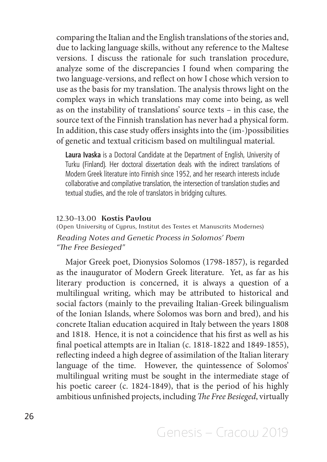comparing the Italian and the English translations of the stories and, due to lacking language skills, without any reference to the Maltese versions. I discuss the rationale for such translation procedure, analyze some of the discrepancies I found when comparing the two language-versions, and reflect on how I chose which version to use as the basis for my translation. The analysis throws light on the complex ways in which translations may come into being, as well as on the instability of translations' source texts – in this case, the source text of the Finnish translation has never had a physical form. In addition, this case study offers insights into the (im-)possibilities of genetic and textual criticism based on multilingual material.

**Laura Ivaska** is a Doctoral Candidate at the Department of English, University of Turku (Finland). Her doctoral dissertation deals with the indirect translations of Modern Greek literature into Finnish since 1952, and her research interests include collaborative and compilative translation, the intersection of translation studies and textual studies, and the role of translators in bridging cultures.

#### 12.30–13.00 **Kostis Pavlou**

(Open University of Cyprus, Institut des Textes et Manuscrits Modernes) *Reading Notes and Genetic Process in Solomos' Poem "The Free Besieged"*

Major Greek poet, Dionysios Solomos (1798-1857), is regarded as the inaugurator of Modern Greek literature. Yet, as far as his literary production is concerned, it is always a question of a multilingual writing, which may be attributed to historical and social factors (mainly to the prevailing Italian-Greek bilingualism of the Ionian Islands, where Solomos was born and bred), and his concrete Italian education acquired in Italy between the years 1808 and 1818. Hence, it is not a coincidence that his first as well as his final poetical attempts are in Italian (c. 1818-1822 and 1849-1855), reflecting indeed a high degree of assimilation of the Italian literary language of the time. However, the quintessence of Solomos' multilingual writing must be sought in the intermediate stage of his poetic career (c. 1824-1849), that is the period of his highly ambitious unfinished projects, including *The Free Besieged*, virtually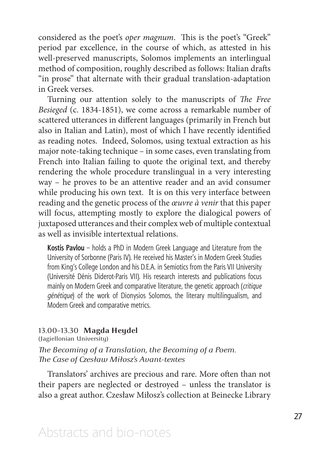considered as the poet's *oper magnum*. This is the poet's "Greek" period par excellence, in the course of which, as attested in his well-preserved manuscripts, Solomos implements an interlingual method of composition, roughly described as follows: Italian drafts "in prose" that alternate with their gradual translation-adaptation in Greek verses.

Turning our attention solely to the manuscripts of *The Free Besieged* (c. 1834-1851), we come across a remarkable number of scattered utterances in different languages (primarily in French but also in Italian and Latin), most of which I have recently identified as reading notes. Indeed, Solomos, using textual extraction as his major note-taking technique – in some cases, even translating from French into Italian failing to quote the original text, and thereby rendering the whole procedure translingual in a very interesting way – he proves to be an attentive reader and an avid consumer while producing his own text. It is on this very interface between reading and the genetic process of the *œuvre à venir* that this paper will focus, attempting mostly to explore the dialogical powers of juxtaposed utterances and their complex web of multiple contextual as well as invisible intertextual relations.

**Kostis Pavlou** – holds a PhD in Modern Greek Language and Literature from the University of Sorbonne (Paris IV). He received his Master's in Modern Greek Studies from King's College London and his D.E.A. in Semiotics from the Paris VII University (Université Dénis Diderot-Paris VII). His research interests and publications focus mainly on Modern Greek and comparative literature, the genetic approach (*critique génétique*) of the work of Dionysios Solomos, the literary multilingualism, and Modern Greek and comparative metrics.

#### 13.00–13.30 **Magda Heydel**

(Jagiellonian University)

*The Becoming of a Translation, the Becoming of a Poem. The Case of Czesław Miłosz's Avant-textes*

Translators' archives are precious and rare. More often than not their papers are neglected or destroyed – unless the translator is also a great author. Czesław Miłosz's collection at Beinecke Library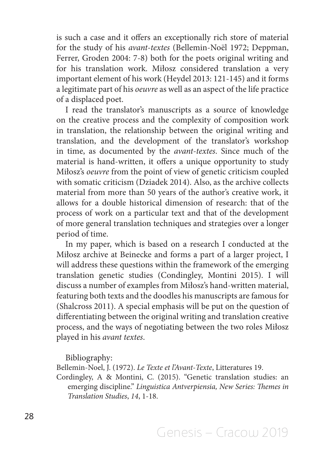is such a case and it offers an exceptionally rich store of material for the study of his *avant-textes* (Bellemin-Noël 1972; Deppman, Ferrer, Groden 2004: 7-8) both for the poets original writing and for his translation work. Miłosz considered translation a very important element of his work (Heydel 2013: 121-145) and it forms a legitimate part of his *oeuvre* as well as an aspect of the life practice of a displaced poet.

I read the translator's manuscripts as a source of knowledge on the creative process and the complexity of composition work in translation, the relationship between the original writing and translation, and the development of the translator's workshop in time, as documented by the *avant-textes*. Since much of the material is hand-written, it offers a unique opportunity to study Miłosz's *oeuvre* from the point of view of genetic criticism coupled with somatic criticism (Dziadek 2014). Also, as the archive collects material from more than 50 years of the author's creative work, it allows for a double historical dimension of research: that of the process of work on a particular text and that of the development of more general translation techniques and strategies over a longer period of time.

In my paper, which is based on a research I conducted at the Miłosz archive at Beinecke and forms a part of a larger project, I will address these questions within the framework of the emerging translation genetic studies (Condingley, Montini 2015). I will discuss a number of examples from Miłosz's hand-written material, featuring both texts and the doodles his manuscripts are famous for (Shalcross 2011). A special emphasis will be put on the question of differentiating between the original writing and translation creative process, and the ways of negotiating between the two roles Miłosz played in his *avant textes*.

Bibliography:

Bellemin-Noel, J. (1972). *Le Texte et l'Avant-Texte*, Litteratures 19.

Cordingley, A & Montini, C. (2015). "Genetic translation studies: an emerging discipline." *Linguistica Antverpiensia, New Series: Themes in Translation Studies*, *14*, 1-18.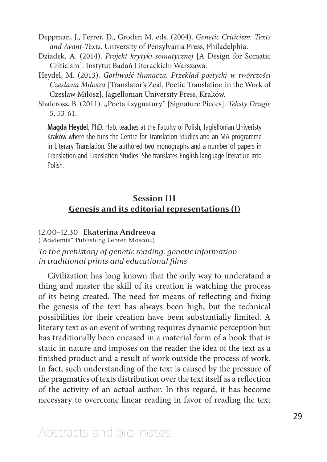Deppman, J., Ferrer, D., Groden M. eds. (2004). *Genetic Criticism. Texts and Avant-Texts*. University of Pensylvania Press, Philadelphia.

- Dziadek, A. (2014). *Projekt krytyki somatycznej* [A Design for Somatic Criticism]. Instytut Badań Literackich: Warszawa.
- Heydel, M. (2013). *Gorliwość tłumacza. Przekład poetycki w twórczości Czesława Miłosza* [Translator's Zeal. Poetic Translation in the Work of Czesław Miłosz]. Jagiellonian University Press, Kraków.

Shalcross, B. (2011). "Poeta i sygnatury" [Signature Pieces]. *Teksty Drugie* 5, 53-61.

**Magda Heydel**, PhD. Hab. teaches at the Faculty of Polish, Jagiellonian Univeristy Kraków where she runs the Centre for Translation Studies and an MA programme in Literary Translation. She authored two monographs and a number of papers in Translation and Translation Studies. She translates English language literature into Polish.

#### **Session III Genesis and its editorial representations (1)**

#### 12.00–12.30 **Ekaterina Andreeva**

("Academia" Publishing Center, Moscow)

*To the prehistory of genetic reading: genetic information in traditional prints and educational films*

Civilization has long known that the only way to understand a thing and master the skill of its creation is watching the process of its being created. The need for means of reflecting and fixing the genesis of the text has always been high, but the technical possibilities for their creation have been substantially limited. A literary text as an event of writing requires dynamic perception but has traditionally been encased in a material form of a book that is static in nature and imposes on the reader the idea of the text as a finished product and a result of work outside the process of work. In fact, such understanding of the text is caused by the pressure of the pragmatics of texts distribution over the text itself as a reflection of the activity of an actual author. In this regard, it has become necessary to overcome linear reading in favor of reading the text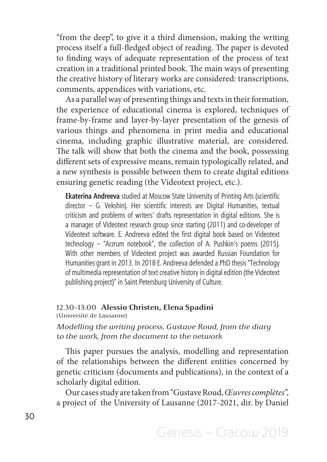"from the deep", to give it a third dimension, making the writing process itself a full-fledged object of reading. The paper is devoted to finding ways of adequate representation of the process of text creation in a traditional printed book. The main ways of presenting the creative history of literary works are considered: transcriptions, comments, appendices with variations, etc.

As a parallel way of presenting things and texts in their formation, the experience of educational cinema is explored, techniques of frame-by-frame and layer-by-layer presentation of the genesis of various things and phenomena in print media and educational cinema, including graphic illustrative material, are considered. The talk will show that both the cinema and the book, possessing different sets of expressive means, remain typologically related, and a new synthesis is possible between them to create digital editions ensuring genetic reading (the Videotext project, etc.).

**Ekaterina Andreeva** studied at Moscow State University of Printing Arts (scientific director – G. Vekshin). Her scientific interests are Digital Humanities, textual criticism and problems of writers' drafts representation in digital editions. She is a manager of Videotext research group since starting (2011) and co-developer of Videotext software. E. Andreeva edited the first digital book based on Videotext technology – "Arzrum notebook", the collection of A. Pushkin's poems (2015). With other members of Videotext project was awarded Russian Foundation for Humanities grant in 2013. In 2018 E. Andreeva defended a PhD thesis "Technology of multimedia representation of text creative history in digital edition (the Videotext publishing project)" in Saint Petersburg University of Culture.

#### 12.30–13.00 **Alessio Christen, Elena Spadini**  (Université de Lausanne)

#### *Modelling the writing process. Gustave Roud, from the diary to the work, from the document to the network*

This paper pursues the analysis, modelling and representation of the relationships between the different entities concerned by genetic criticism (documents and publications), in the context of a scholarly digital edition.

Our cases study are taken from "Gustave Roud, *Œuvres complètes*", a project of the University of Lausanne (2017-2021, dir. by Daniel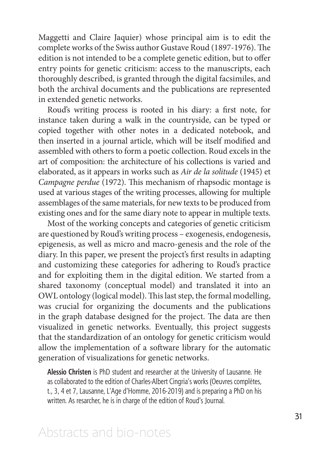Maggetti and Claire Jaquier) whose principal aim is to edit the complete works of the Swiss author Gustave Roud (1897-1976). The edition is not intended to be a complete genetic edition, but to offer entry points for genetic criticism: access to the manuscripts, each thoroughly described, is granted through the digital facsimiles, and both the archival documents and the publications are represented in extended genetic networks.

Roud's writing process is rooted in his diary: a first note, for instance taken during a walk in the countryside, can be typed or copied together with other notes in a dedicated notebook, and then inserted in a journal article, which will be itself modified and assembled with others to form a poetic collection. Roud excels in the art of composition: the architecture of his collections is varied and elaborated, as it appears in works such as *Air de la solitude* (1945) et *Campagne perdue* (1972). This mechanism of rhapsodic montage is used at various stages of the writing processes, allowing for multiple assemblages of the same materials, for new texts to be produced from existing ones and for the same diary note to appear in multiple texts.

Most of the working concepts and categories of genetic criticism are questioned by Roud's writing process – exogenesis, endogenesis, epigenesis, as well as micro and macro-genesis and the role of the diary. In this paper, we present the project's first results in adapting and customizing these categories for adhering to Roud's practice and for exploiting them in the digital edition. We started from a shared taxonomy (conceptual model) and translated it into an OWL ontology (logical model). This last step, the formal modelling, was crucial for organizing the documents and the publications in the graph database designed for the project. The data are then visualized in genetic networks. Eventually, this project suggests that the standardization of an ontology for genetic criticism would allow the implementation of a software library for the automatic generation of visualizations for genetic networks.

**Alessio Christen** is PhD student and researcher at the University of Lausanne. He as collaborated to the edition of Charles-Albert Cingria's works (Oeuvres complètes, t., 3, 4 et 7, Lausanne, L'Age d'Homme, 2016-2019) and is preparing a PhD on his written. As resarcher, he is in charge of the edition of Roud's Journal.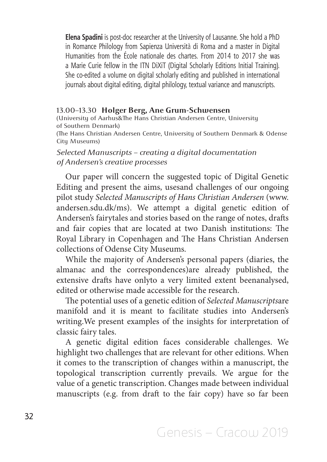**Elena Spadini** is post-doc researcher at the University of Lausanne. She hold a PhD in Romance Philology from Sapienza Università di Roma and a master in Digital Humanities from the École nationale des chartes. From 2014 to 2017 she was a Marie Curie fellow in the ITN DiXiT (Digital Scholarly Editions Initial Training). She co-edited a volume on digital scholarly editing and published in international journals about digital editing, digital philology, textual variance and manuscripts.

#### 13.00–13.30 **Holger Berg, Ane Grum-Schwensen**

(University of Aarhus&The Hans Christian Andersen Centre, University of Southern Denmark)

(The Hans Christian Andersen Centre, University of Southern Denmark & Odense City Museums)

#### *Selected Manuscripts – creating a digital documentation of Andersen's creative processes*

Our paper will concern the suggested topic of Digital Genetic Editing and present the aims, usesand challenges of our ongoing pilot study *Selected Manuscripts of Hans Christian Andersen* (www. andersen.sdu.dk/ms). We attempt a digital genetic edition of Andersen's fairytales and stories based on the range of notes, drafts and fair copies that are located at two Danish institutions: The Royal Library in Copenhagen and The Hans Christian Andersen collections of Odense City Museums.

While the majority of Andersen's personal papers (diaries, the almanac and the correspondences)are already published, the extensive drafts have onlyto a very limited extent beenanalysed, edited or otherwise made accessible for the research.

The potential uses of a genetic edition of *Selected Manuscripts*are manifold and it is meant to facilitate studies into Andersen's writing.We present examples of the insights for interpretation of classic fairy tales.

A genetic digital edition faces considerable challenges. We highlight two challenges that are relevant for other editions. When it comes to the transcription of changes within a manuscript, the topological transcription currently prevails. We argue for the value of a genetic transcription. Changes made between individual manuscripts (e.g. from draft to the fair copy) have so far been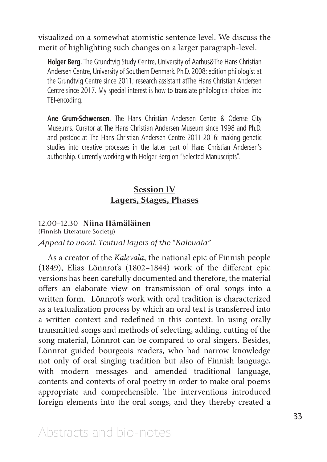visualized on a somewhat atomistic sentence level. We discuss the merit of highlighting such changes on a larger paragraph-level.

**Holger Berg**, The Grundtvig Study Centre, University of Aarhus&The Hans Christian Andersen Centre, University of Southern Denmark. Ph.D. 2008; edition philologist at the Grundtvig Centre since 2011; research assistant atThe Hans Christian Andersen Centre since 2017. My special interest is how to translate philological choices into TEI-encoding.

**Ane Grum-Schwensen**, The Hans Christian Andersen Centre & Odense City Museums. Curator at The Hans Christian Andersen Museum since 1998 and Ph.D. and postdoc at The Hans Christian Andersen Centre 2011-2016: making genetic studies into creative processes in the latter part of Hans Christian Andersen's authorship. Currently working with Holger Berg on "Selected Manuscripts".

#### **Session IV Layers, Stages, Phases**

#### 12.00–12.30 **Niina Hämäläinen**

(Finnish Literature Society)

#### *Appeal to vocal. Textual layers of the "Kalevala"*

As a creator of the *Kalevala*, the national epic of Finnish people (1849), Elias Lönnrot's (1802–1844) work of the different epic versions has been carefully documented and therefore, the material offers an elaborate view on transmission of oral songs into a written form. Lönnrot's work with oral tradition is characterized as a textualization process by which an oral text is transferred into a written context and redefined in this context. In using orally transmitted songs and methods of selecting, adding, cutting of the song material, Lönnrot can be compared to oral singers. Besides, Lönnrot guided bourgeois readers, who had narrow knowledge not only of oral singing tradition but also of Finnish language, with modern messages and amended traditional language, contents and contexts of oral poetry in order to make oral poems appropriate and comprehensible. The interventions introduced foreign elements into the oral songs, and they thereby created a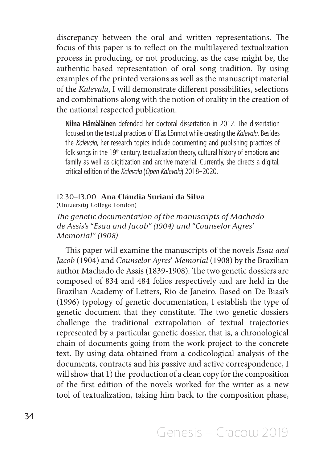discrepancy between the oral and written representations. The focus of this paper is to reflect on the multilayered textualization process in producing, or not producing, as the case might be, the authentic based representation of oral song tradition. By using examples of the printed versions as well as the manuscript material of the *Kalevala*, I will demonstrate different possibilities, selections and combinations along with the notion of orality in the creation of the national respected publication.

**Niina Hämäläinen** defended her doctoral dissertation in 2012. The dissertation focused on the textual practices of Elias Lönnrot while creating the *Kalevala*. Besides the *Kalevala*, her research topics include documenting and publishing practices of folk songs in the  $19<sup>th</sup>$  century, textualization theory, cultural history of emotions and family as well as digitization and archive material. Currently, she directs a digital, critical edition of the *Kalevala* (*Open Kalevala*) 2018–2020.

#### 12.30–13.00 **Ana Cláudia Suriani da Silva**

(University College London)

*The genetic documentation of the manuscripts of Machado de Assis's "Esau and Jacob" (1904) and "Counselor Ayres' Memorial" (1908)*

This paper will examine the manuscripts of the novels *Esau and Jacob* (1904) and *Counselor Ayres*' *Memorial* (1908) by the Brazilian author Machado de Assis (1839-1908)*.* The two genetic dossiers are composed of 834 and 484 folios respectively and are held in the Brazilian Academy of Letters, Rio de Janeiro. Based on De Biasi's (1996) typology of genetic documentation, I establish the type of genetic document that they constitute. The two genetic dossiers challenge the traditional extrapolation of textual trajectories represented by a particular genetic dossier, that is, a chronological chain of documents going from the work project to the concrete text. By using data obtained from a codicological analysis of the documents, contracts and his passive and active correspondence, I will show that 1) the production of a clean copy for the composition of the first edition of the novels worked for the writer as a new tool of textualization, taking him back to the composition phase,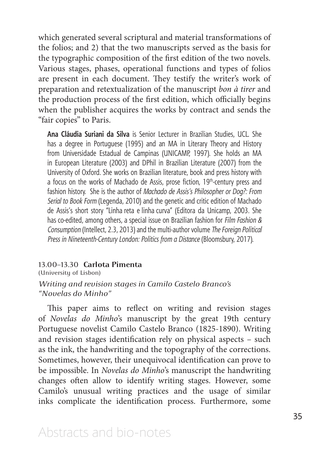which generated several scriptural and material transformations of the folios; and 2) that the two manuscripts served as the basis for the typographic composition of the first edition of the two novels. Various stages, phases, operational functions and types of folios are present in each document. They testify the writer's work of preparation and retextualization of the manuscript *bon à tirer* and the production process of the first edition, which officially begins when the publisher acquires the works by contract and sends the "fair copies" to Paris.

**Ana Cláudia Suriani da Silva** is Senior Lecturer in Brazilian Studies, UCL. She has a degree in Portuguese (1995) and an MA in Literary Theory and History from Universidade Estadual de Campinas (UNICAMP, 1997). She holds an MA in European Literature (2003) and DPhil in Brazilian Literature (2007) from the University of Oxford. She works on Brazilian literature, book and press history with a focus on the works of Machado de Assis, prose fiction,  $19<sup>th</sup>$ -century press and fashion history. She is the author of *Machado de Assis's Philosopher or Dog?: From Serial to Book Form* (Legenda, 2010) and the genetic and critic edition of Machado de Assis's short story "Linha reta e linha curva" (Editora da Unicamp, 2003. She has co-edited, among others, a special issue on Brazilian fashion for *Film Fashion & Consumption* (Intellect, 2.3, 2013) and the multi-author volume *The Foreign Political Press in Nineteenth-Century London: Politics from a Distance* (Bloomsbury, 2017).

#### 13.00–13.30 **Carlota Pimenta**

(University of Lisbon)

#### *Writing and revision stages in Camilo Castelo Branco's "Novelas do Minho"*

This paper aims to reflect on writing and revision stages of *Novelas do Minho*'s manuscript by the great 19th century Portuguese novelist Camilo Castelo Branco (1825-1890). Writing and revision stages identification rely on physical aspects – such as the ink, the handwriting and the topography of the corrections. Sometimes, however, their unequivocal identification can prove to be impossible. In *Novelas do Minho*'s manuscript the handwriting changes often allow to identify writing stages. However, some Camilo's unusual writing practices and the usage of similar inks complicate the identification process. Furthermore, some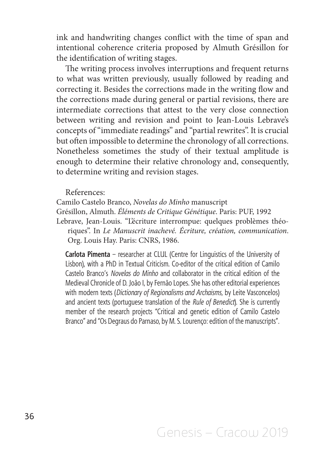ink and handwriting changes conflict with the time of span and intentional coherence criteria proposed by Almuth Grésillon for the identification of writing stages.

The writing process involves interruptions and frequent returns to what was written previously, usually followed by reading and correcting it. Besides the corrections made in the writing flow and the corrections made during general or partial revisions, there are intermediate corrections that attest to the very close connection between writing and revision and point to Jean-Louis Lebrave's concepts of "immediate readings" and "partial rewrites". It is crucial but often impossible to determine the chronology of all corrections. Nonetheless sometimes the study of their textual amplitude is enough to determine their relative chronology and, consequently, to determine writing and revision stages.

References:

Camilo Castelo Branco, *Novelas do Minho* manuscript Grésillon, Almuth. *Éléments de Critique Génétique*. Paris: PUF, 1992 Lebrave, Jean-Louis. "L'écriture interrompue: quelques problèmes théoriques". In *Le Manuscrit inachevé. Écriture, création, communication*. Org. Louis Hay. Paris: CNRS, 1986.

**Carlota Pimenta** – researcher at CLUL (Centre for Linguistics of the University of Lisbon), with a PhD in Textual Criticism. Co-editor of the critical edition of Camilo Castelo Branco's *Novelas do Minho* and collaborator in the critical edition of the Medieval Chronicle of D. João I, by Fernão Lopes. She has other editorial experiences with modern texts (*Dictionary of Regionalisms and Archaisms*, by Leite Vasconcelos) and ancient texts (portuguese translation of the *Rule of Benedict*). She is currently member of the research projects "Critical and genetic edition of Camilo Castelo Branco" and "Os Degraus do Parnaso, by M. S. Lourenço: edition of the manuscripts".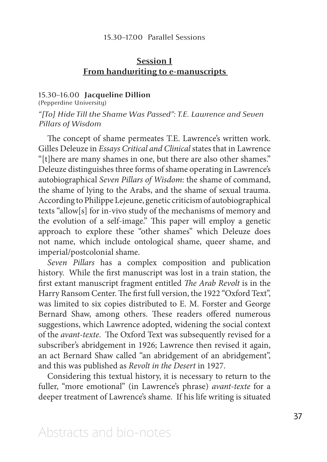#### 15.30–17.00 Parallel Sessions

# **Session I From handwriting to e-manuscripts**

#### 15.30–16.00 **Jacqueline Dillion**

(Pepperdine University) *"[To] Hide Till the Shame Was Passed": T.E. Lawrence and Seven Pillars of Wisdom* 

The concept of shame permeates T.E. Lawrence's written work. Gilles Deleuze in *Essays Critical and Clinical* states that in Lawrence "[t]here are many shames in one, but there are also other shames." Deleuze distinguishes three forms of shame operating in Lawrence's autobiographical *Seven Pillars of Wisdom*: the shame of command, the shame of lying to the Arabs, and the shame of sexual trauma. According to Philippe Lejeune, genetic criticism of autobiographical texts "allow[s] for in-vivo study of the mechanisms of memory and the evolution of a self-image." This paper will employ a genetic approach to explore these "other shames" which Deleuze does not name, which include ontological shame, queer shame, and imperial/postcolonial shame.

*Seven Pillars* has a complex composition and publication history. While the first manuscript was lost in a train station, the first extant manuscript fragment entitled *The Arab Revolt* is in the Harry Ransom Center. The first full version, the 1922 "Oxford Text", was limited to six copies distributed to E. M. Forster and George Bernard Shaw, among others. These readers offered numerous suggestions, which Lawrence adopted, widening the social context of the *avant-texte*. The Oxford Text was subsequently revised for a subscriber's abridgement in 1926; Lawrence then revised it again, an act Bernard Shaw called "an abridgement of an abridgement", and this was published as *Revolt in the Desert* in 1927.

Considering this textual history, it is necessary to return to the fuller, "more emotional" (in Lawrence's phrase) *avant-texte* for a deeper treatment of Lawrence's shame. If his life writing is situated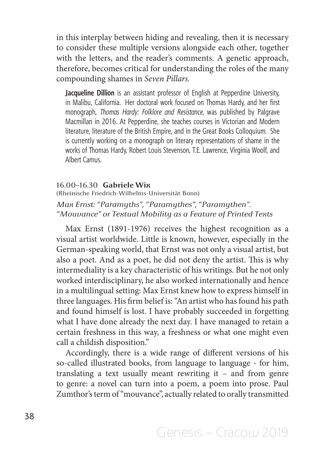in this interplay between hiding and revealing, then it is necessary to consider these multiple versions alongside each other, together with the letters, and the reader's comments. A genetic approach, therefore, becomes critical for understanding the roles of the many compounding shames in *Seven Pillars.*

**Jacqueline Dillion** is an assistant professor of English at Pepperdine University, in Malibu, California. Her doctoral work focused on Thomas Hardy, and her first monograph, *Thomas Hardy: Folklore and Resistance,* was published by Palgrave Macmillan in 2016. At Pepperdine, she teaches courses in Victorian and Modern literature, literature of the British Empire, and in the Great Books Colloquium. She is currently working on a monograph on literary representations of shame in the works of Thomas Hardy, Robert Louis Stevenson, T.E. Lawrence, Virginia Woolf, and Albert Camus.

#### 16.00–16.30 **Gabriele Wix**

(Rheinische Friedrich-Wilhelms-Universität Bonn) *Max Ernst: "Paramyths", "Paramythes", "Paramythen". "Mouvance" or Textual Mobility as a Feature of Printed Texts*

Max Ernst (1891-1976) receives the highest recognition as a visual artist worldwide. Little is known, however, especially in the German-speaking world, that Ernst was not only a visual artist, but also a poet. And as a poet, he did not deny the artist. This is why intermediality is a key characteristic of his writings. But he not only worked interdisciplinary, he also worked internationally and hence in a multilingual setting: Max Ernst knew how to express himself in three languages. His firm belief is: "An artist who has found his path and found himself is lost. I have probably succeeded in forgetting what I have done already the next day. I have managed to retain a certain freshness in this way, a freshness or what one might even call a childish disposition."

Accordingly, there is a wide range of different versions of his so-called illustrated books, from language to language - for him, translating a text usually meant rewriting it – and from genre to genre: a novel can turn into a poem, a poem into prose. Paul Zumthor's term of "mouvance", actually related to orally transmitted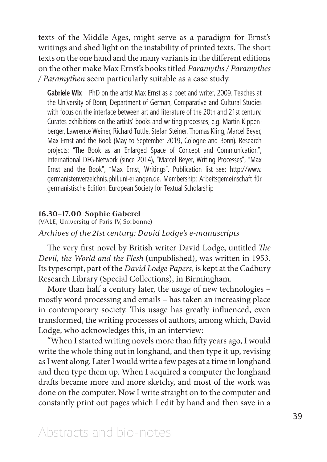texts of the Middle Ages, might serve as a paradigm for Ernst's writings and shed light on the instability of printed texts. The short texts on the one hand and the many variants in the different editions on the other make Max Ernst's books titled *Paramyths / Paramythes / Paramythen* seem particularly suitable as a case study.

**Gabriele Wix** – PhD on the artist Max Ernst as a poet and writer, 2009. Teaches at the University of Bonn, Department of German, Comparative and Cultural Studies with focus on the interface between art and literature of the 20th and 21st century. Curates exhibitions on the artists' books and writing processes, e.g. Martin Kippenberger, Lawrence Weiner, Richard Tuttle, Stefan Steiner, Thomas Kling, Marcel Beyer, Max Ernst and the Book (May to September 2019, Cologne and Bonn). Research projects: "The Book as an Enlarged Space of Concept and Communication", International DFG-Network (since 2014), "Marcel Beyer, Writing Processes", "Max Ernst and the Book", "Max Ernst, Writings". Publication list see: http://www. germanistenverzeichnis.phil.uni-erlangen.de. Membership: Arbeitsgemeinschaft für germanistische Edition, European Society for Textual Scholarship

### **16.30–17.00 Sophie Gaberel**

(VALE, University of Paris IV, Sorbonne) *Archives of the 21st century: David Lodge's e-manuscripts*

The very first novel by British writer David Lodge, untitled *The Devil, the World and the Flesh* (unpublished), was written in 1953. Its typescript, part of the *David Lodge Papers*, is kept at the Cadbury Research Library (Special Collections), in Birmingham.

More than half a century later, the usage of new technologies – mostly word processing and emails – has taken an increasing place in contemporary society. This usage has greatly influenced, even transformed, the writing processes of authors, among which, David Lodge, who acknowledges this, in an interview:

"When I started writing novels more than fifty years ago, I would write the whole thing out in longhand, and then type it up, revising as I went along. Later I would write a few pages at a time in longhand and then type them up. When I acquired a computer the longhand drafts became more and more sketchy, and most of the work was done on the computer. Now I write straight on to the computer and constantly print out pages which I edit by hand and then save in a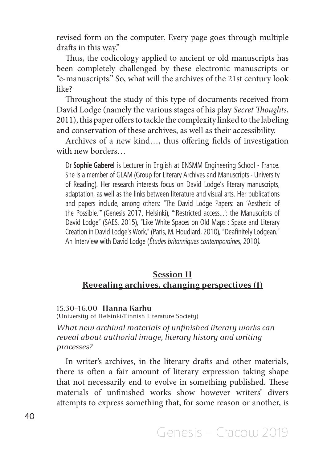revised form on the computer. Every page goes through multiple drafts in this way."

Thus, the codicology applied to ancient or old manuscripts has been completely challenged by these electronic manuscripts or "e-manuscripts." So, what will the archives of the 21st century look like?

Throughout the study of this type of documents received from David Lodge (namely the various stages of his play *Secret Thoughts*, 2011), this paper offers to tackle the complexity linked to the labeling and conservation of these archives, as well as their accessibility.

Archives of a new kind…, thus offering fields of investigation with new borders…

Dr **Sophie Gaberel** is Lecturer in English at ENSMM Engineering School - France. She is a member of GLAM (Group for Literary Archives and Manuscripts - University of Reading). Her research interests focus on David Lodge's literary manuscripts, adaptation, as well as the links between literature and visual arts. Her publications and papers include, among others: "The David Lodge Papers: an 'Aesthetic of the Possible.'" (Genesis 2017, Helsinki), "'Restricted access…': the Manuscripts of David Lodge" (SAES, 2015), "Like White Spaces on Old Maps : Space and Literary Creation in David Lodge's Work," (Paris, M. Houdiard, 2010), "Deafinitely Lodgean." An Interview with David Lodge (*Études britanniques contemporaines,* 2010*)*.

# **Session II Revealing archives, changing perspectives (1)**

#### 15.30–16.00 **Hanna Karhu**

(University of Helsinki/Finnish Literature Society)

*What new archival materials of unfinished literary works can reveal about authorial image, literary history and writing processes?*

In writer's archives, in the literary drafts and other materials, there is often a fair amount of literary expression taking shape that not necessarily end to evolve in something published. These materials of unfinished works show however writers' divers attempts to express something that, for some reason or another, is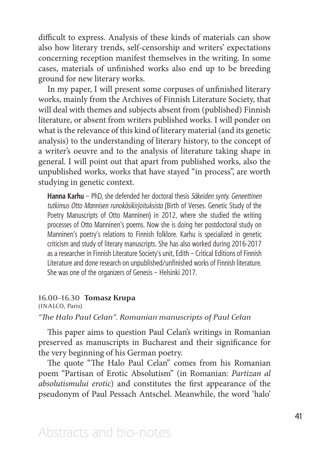difficult to express. Analysis of these kinds of materials can show also how literary trends, self-censorship and writers' expectations concerning reception manifest themselves in the writing. In some cases, materials of unfinished works also end up to be breeding ground for new literary works.

In my paper, I will present some corpuses of unfinished literary works, mainly from the Archives of Finnish Literature Society, that will deal with themes and subjects absent from (published) Finnish literature, or absent from writers published works. I will ponder on what is the relevance of this kind of literary material (and its genetic analysis) to the understanding of literary history, to the concept of a writer's oeuvre and to the analysis of literature taking shape in general. I will point out that apart from published works, also the unpublished works, works that have stayed "in process", are worth studying in genetic context.

**Hanna Karhu** – PhD, she defended her doctoral thesis *Säkeiden synty. Geneettinen tutkimus Otto Mannisen runokäsikirjoituksista* (Birth of Verses. Genetic Study of the Poetry Manuscripts of Otto Manninen) in 2012, where she studied the writing processes of Otto Manninen's poems. Now she is doing her postdoctoral study on Manninen's poetry's relations to Finnish folklore. Karhu is specialized in genetic criticism and study of literary manuscripts. She has also worked during 2016-2017 as a researcher in Finnish Literature Society's unit, Edith – Critical Editions of Finnish Literature and done research on unpublished/unfinished works of Finnish literature. She was one of the organizers of Genesis – Helsinki 2017.

# 16.00–16.30 **Tomasz Krupa**

(INALCO, Paris)

# *"The Halo Paul Celan". Romanian manuscripts of Paul Celan*

This paper aims to question Paul Celan's writings in Romanian preserved as manuscripts in Bucharest and their significance for the very beginning of his German poetry.

The quote "The Halo Paul Celan" comes from his Romanian poem "Partisan of Erotic Absolutism" (in Romanian: *Partizan al absolutismului erotic*) and constitutes the first appearance of the pseudonym of Paul Pessach Antschel. Meanwhile, the word 'halo'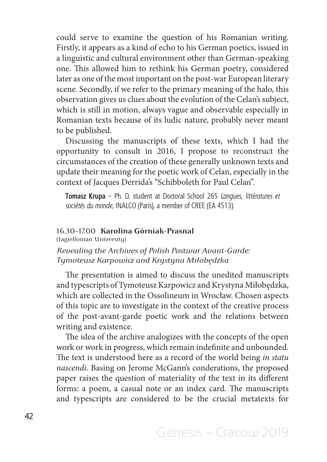could serve to examine the question of his Romanian writing. Firstly, it appears as a kind of echo to his German poetics, issued in a linguistic and cultural environment other than German-speaking one. This allowed him to rethink his German poetry, considered later as one of the most important on the post-war European literary scene. Secondly, if we refer to the primary meaning of the halo, this observation gives us clues about the evolution of the Celan's subject, which is still in motion, always vague and observable especially in Romanian texts because of its ludic nature, probably never meant to be published.

Discussing the manuscripts of these texts, which I had the opportunity to consult in 2016, I propose to reconstruct the circumstances of the creation of these generally unknown texts and update their meaning for the poetic work of Celan, especially in the context of Jacques Derrida's "Schibboleth for Paul Celan".

**Tomasz Krupa** – Ph. D. student at Doctoral School 265 *Langues, littératures et sociétés du monde*, INALCO (Paris), a member of CREE (EA 4513).

# 16.30–17.00 **Karolina Górniak-Prasnal**

(Jagiellonian University)

*Revealing the Archives of Polish Postwar Avant-Garde: Tymoteusz Karpowicz and Krystyna Miłobędzka* 

The presentation is aimed to discuss the unedited manuscripts and typescripts of Tymoteusz Karpowicz and Krystyna Miłobędzka, which are collected in the Ossolineum in Wrocław. Chosen aspects of this topic are to investigate in the context of the creative process of the post-avant-garde poetic work and the relations between writing and existence.

The idea of the archive analogizes with the concepts of the open work or work in progress, which remain indefinite and unbounded. The text is understood here as a record of the world being *in statu nascendi*. Basing on Jerome McGann's conderations, the proposed paper raises the question of materiality of the text in its different forms: a poem, a casual note or an index card. The manuscripts and typescripts are considered to be the crucial metatexts for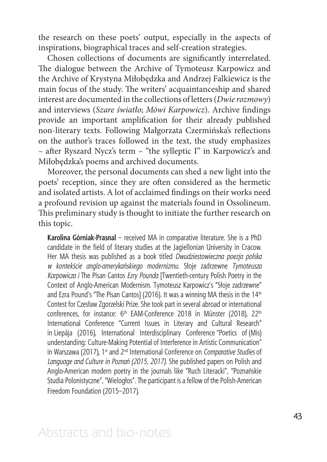the research on these poets' output, especially in the aspects of inspirations, biographical traces and self-creation strategies.

Chosen collections of documents are significantly interrelated. The dialogue between the Archive of Tymoteusz Karpowicz and the Archive of Krystyna Miłobędzka and Andrzej Falkiewicz is the main focus of the study. The writers' acquaintanceship and shared interest are documented in the collections of letters (*Dwie rozmowy*) and interviews (*Szare światło*; *Mówi Karpowicz*). Archive findings provide an important amplification for their already published non-literary texts. Following Małgorzata Czermińska's reflections on the author's traces followed in the text, the study emphasizes – after Ryszard Nycz's term – "the sylleptic I" in Karpowicz's and Miłobędzka's poems and archived documents.

Moreover, the personal documents can shed a new light into the poets' reception, since they are often considered as the hermetic and isolated artists. A lot of acclaimed findings on their works need a profound revision up against the materials found in Ossolineum. This preliminary study is thought to initiate the further research on this topic.

**Karolina Górniak-Prasnal** – received MA in comparative literature. She is a PhD candidate in the field of literary studies at the Jagiellonian University in Cracow. Her MA thesis was published as a book titled *Dwudziestowieczna poezja polska w kontekście anglo-amerykańskiego modernizmu.* Słoje zadrzewne *Tymoteusza Karpowicza i* The Pisan Cantos *Ezry Pounda* [Twentieth-century Polish Poetry in the Context of Anglo-American Modernism. Tymoteusz Karpowicz's "Słoje zadrzewne" and Ezra Pound's "The Pisan Cantos] (2016). It was a winning MA thesis in the 14<sup>th</sup> Contest for Czesław Zgorzelski Prize. She took part in several abroad or international conferences, for instance:  $6<sup>th</sup>$  EAM-Conference 2018 in Münster (2018), 22<sup>th</sup> International Conference "Current Issues in Literary and Cultural Research" in Liepāja (2016), International Interdisciplinary Conference "Poetics of (Mis) understanding: Culture-Making Potential of Interference in Artistic Communication" in Warszawa (2017), 1<sup>st</sup> and 2<sup>nd</sup> International Conference on *Comparative Studies* of *Language and Culture in Poznań (2015, 2017)*. She published papers on Polish and Anglo-American modern poetry in the journals like "Ruch Literacki", "Poznańskie Studia Polonistyczne", "Wielogłos". The participant is a fellow of the Polish-American Freedom Foundation (2015–2017).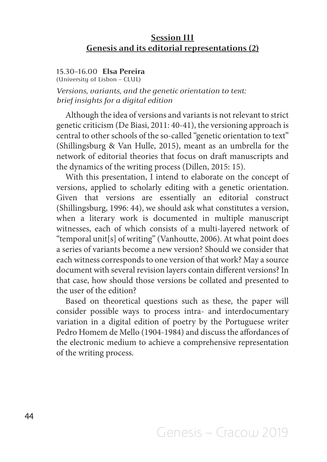# **Session III Genesis and its editorial representations (2)**

### 15.30–16.00 **Elsa Pereira**

(University of Lisbon – CLUL)

*Versions, variants, and the genetic orientation to text: brief insights for a digital edition*

Although the idea of versions and variants is not relevant to strict genetic criticism (De Biasi, 2011: 40-41), the versioning approach is central to other schools of the so-called "genetic orientation to text" (Shillingsburg & Van Hulle, 2015), meant as an umbrella for the network of editorial theories that focus on draft manuscripts and the dynamics of the writing process (Dillen, 2015: 15).

With this presentation, I intend to elaborate on the concept of versions, applied to scholarly editing with a genetic orientation. Given that versions are essentially an editorial construct (Shillingsburg, 1996: 44), we should ask what constitutes a version, when a literary work is documented in multiple manuscript witnesses, each of which consists of a multi-layered network of "temporal unit[s] of writing" (Vanhoutte, 2006). At what point does a series of variants become a new version? Should we consider that each witness corresponds to one version of that work? May a source document with several revision layers contain different versions? In that case, how should those versions be collated and presented to the user of the edition?

Based on theoretical questions such as these, the paper will consider possible ways to process intra- and interdocumentary variation in a digital edition of poetry by the Portuguese writer Pedro Homem de Mello (1904-1984) and discuss the affordances of the electronic medium to achieve a comprehensive representation of the writing process.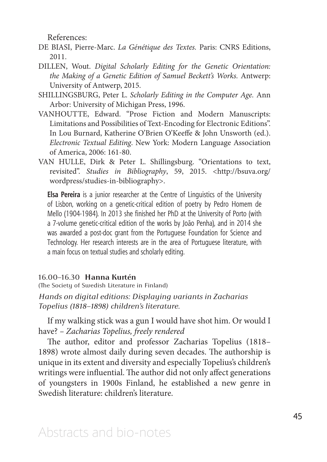References:

- DE BIASI, Pierre-Marc. *La Génétique des Textes.* Paris: CNRS Editions, 2011.
- DILLEN, Wout. *Digital Scholarly Editing for the Genetic Orientation: the Making of a Genetic Edition of Samuel Beckett's Works.* Antwerp: University of Antwerp, 2015.
- SHILLINGSBURG, Peter L. *Scholarly Editing in the Computer Age.* Ann Arbor: University of Michigan Press, 1996.
- VANHOUTTE, Edward. "Prose Fiction and Modern Manuscripts: Limitations and Possibilities of Text-Encoding for Electronic Editions". In Lou Burnard, Katherine O'Brien O'Keeffe & John Unsworth (ed.). *Electronic Textual Editing*. New York: Modern Language Association of America, 2006: 161-80.
- VAN HULLE, Dirk & Peter L. Shillingsburg. "Orientations to text, revisited". *Studies in Bibliography*, 59, 2015. <http://bsuva.org/ wordpress/studies-in-bibliography>.

**Elsa Pereira** is a junior researcher at the Centre of Linguistics of the University of Lisbon, working on a genetic-critical edition of poetry by Pedro Homem de Mello (1904-1984). In 2013 she finished her PhD at the University of Porto (with a 7-volume genetic-critical edition of the works by João Penha), and in 2014 she was awarded a post-doc grant from the Portuguese Foundation for Science and Technology. Her research interests are in the area of Portuguese literature, with a main focus on textual studies and scholarly editing.

# 16.00–16.30 **Hanna Kurtén**

(The Society of Swedish Literature in Finland)

*Hands on digital editions: Displaying variants in Zacharias Topelius (1818–1898) children's literature.*

If my walking stick was a gun I would have shot him. Or would I have? *– Zacharias Topelius, freely rendered*

The author, editor and professor Zacharias Topelius (1818– 1898) wrote almost daily during seven decades. The authorship is unique in its extent and diversity and especially Topelius's children's writings were influential. The author did not only affect generations of youngsters in 1900s Finland, he established a new genre in Swedish literature: children's literature.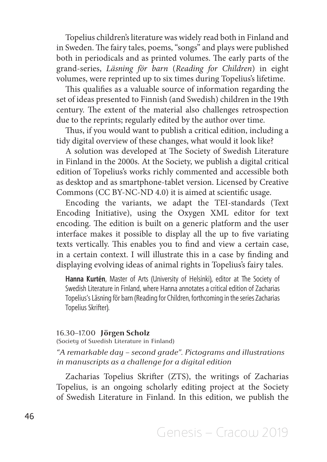Topelius children's literature was widely read both in Finland and in Sweden. The fairy tales, poems, "songs" and plays were published both in periodicals and as printed volumes. The early parts of the grand-series, *Läsning för barn* (*Reading for Children*) in eight volumes, were reprinted up to six times during Topelius's lifetime.

This qualifies as a valuable source of information regarding the set of ideas presented to Finnish (and Swedish) children in the 19th century. The extent of the material also challenges retrospection due to the reprints; regularly edited by the author over time.

Thus, if you would want to publish a critical edition, including a tidy digital overview of these changes, what would it look like?

A solution was developed at The Society of Swedish Literature in Finland in the 2000s. At the Society, we publish a digital critical edition of Topelius's works richly commented and accessible both as desktop and as smartphone-tablet version. Licensed by Creative Commons (CC BY-NC-ND 4.0) it is aimed at scientific usage.

Encoding the variants, we adapt the TEI-standards (Text Encoding Initiative), using the Oxygen XML editor for text encoding. The edition is built on a generic platform and the user interface makes it possible to display all the up to five variating texts vertically. This enables you to find and view a certain case, in a certain context. I will illustrate this in a case by finding and displaying evolving ideas of animal rights in Topelius's fairy tales.

**Hanna Kurtén**, Master of Arts (University of Helsinki), editor at The Society of Swedish Literature in Finland, where Hanna annotates a critical edition of Zacharias Topelius's Läsning för barn (Reading for Children, forthcoming in the series Zacharias Topelius Skrifter).

#### 16.30–17.00 **Jörgen Scholz**

(Society of Swedish Literature in Finland)

*"A remarkable day – second grade". Pictograms and illustrations in manuscripts as a challenge for a digital edition*

Zacharias Topelius Skrifter (ZTS), the writings of Zacharias Topelius, is an ongoing scholarly editing project at the Society of Swedish Literature in Finland. In this edition, we publish the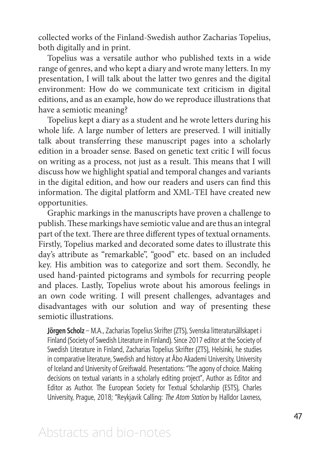collected works of the Finland-Swedish author Zacharias Topelius, both digitally and in print.

Topelius was a versatile author who published texts in a wide range of genres, and who kept a diary and wrote many letters. In my presentation, I will talk about the latter two genres and the digital environment: How do we communicate text criticism in digital editions, and as an example, how do we reproduce illustrations that have a semiotic meaning?

Topelius kept a diary as a student and he wrote letters during his whole life. A large number of letters are preserved. I will initially talk about transferring these manuscript pages into a scholarly edition in a broader sense. Based on genetic text critic I will focus on writing as a process, not just as a result. This means that I will discuss how we highlight spatial and temporal changes and variants in the digital edition, and how our readers and users can find this information. The digital platform and XML-TEI have created new opportunities.

Graphic markings in the manuscripts have proven a challenge to publish. These markings have semiotic value and are thus an integral part of the text. There are three different types of textual ornaments. Firstly, Topelius marked and decorated some dates to illustrate this day's attribute as "remarkable", "good" etc. based on an included key. His ambition was to categorize and sort them. Secondly, he used hand-painted pictograms and symbols for recurring people and places. Lastly, Topelius wrote about his amorous feelings in an own code writing. I will present challenges, advantages and disadvantages with our solution and way of presenting these semiotic illustrations.

**Jörgen Scholz** – M.A., Zacharias Topelius Skrifter (ZTS), Svenska litteratursällskapet i Finland (Society of Swedish Literature in Finland). Since 2017 editor at the Society of Swedish Literature in Finland, Zacharias Topelius Skrifter (ZTS), Helsinki, he studies in comparative literature, Swedish and history at Åbo Akademi University, University of Iceland and University of Greifswald. Presentations: "The agony of choice. Making decisions on textual variants in a scholarly editing project", Author as Editor and Editor as Author. The European Society for Textual Scholarship (ESTS), Charles University, Prague, 2018; "Reykjavik Calling: *The Atom Station* by Halldor Laxness,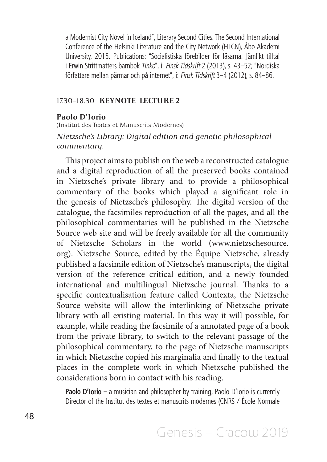a Modernist City Novel in Iceland", Literary Second Cities. The Second International Conference of the Helsinki Literature and the City Network (HLCN), Åbo Akademi University, 2015. Publications: "Socialistiska förebilder för läsarna. Jämlikt tilltal i Erwin Strittmatters barnbok *Tinko*", i: *Finsk Tidskrift* 2 (2013), s. 43–52; "Nordiska författare mellan pärmar och på internet", i: *Finsk Tidskrift* 3–4 (2012), s. 84–86.

### 17.30–18.30 **KEYNOTE LECTURE 2**

# **Paolo D'Iorio**

(Institut des Textes et Manuscrits Modernes)

*Nietzsche's Library: Digital edition and genetic-philosophical commentary.*

This project aims to publish on the web a reconstructed catalogue and a digital reproduction of all the preserved books contained in Nietzsche's private library and to provide a philosophical commentary of the books which played a significant role in the genesis of Nietzsche's philosophy. The digital version of the catalogue, the facsimiles reproduction of all the pages, and all the philosophical commentaries will be published in the Nietzsche Source web site and will be freely available for all the community of Nietzsche Scholars in the world (www.nietzschesource. org). Nietzsche Source, edited by the Équipe Nietzsche, already published a facsimile edition of Nietzsche's manuscripts, the digital version of the reference critical edition, and a newly founded international and multilingual Nietzsche journal. Thanks to a specific contextualisation feature called Contexta, the Nietzsche Source website will allow the interlinking of Nietzsche private library with all existing material. In this way it will possible, for example, while reading the facsimile of a annotated page of a book from the private library, to switch to the relevant passage of the philosophical commentary, to the page of Nietzsche manuscripts in which Nietzsche copied his marginalia and finally to the textual places in the complete work in which Nietzsche published the considerations born in contact with his reading.

**Paolo D'Iorio** – a musician and philosopher by training, Paolo D'Iorio is currently Director of the Institut des textes et manuscrits modernes (CNRS / École Normale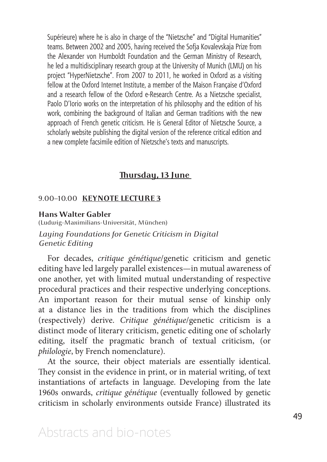Supérieure) where he is also in charge of the "Nietzsche" and "Digital Humanities" teams. Between 2002 and 2005, having received the Sofja Kovalevskaja Prize from the Alexander von Humboldt Foundation and the German Ministry of Research, he led a multidisciplinary research group at the University of Munich (LMU) on his project "HyperNietzsche". From 2007 to 2011, he worked in Oxford as a visiting fellow at the Oxford Internet Institute, a member of the Maison Française d'Oxford and a research fellow of the Oxford e-Research Centre. As a Nietzsche specialist, Paolo D'Iorio works on the interpretation of his philosophy and the edition of his work, combining the background of Italian and German traditions with the new approach of French genetic criticism. He is General Editor of Nietzsche Source, a scholarly website publishing the digital version of the reference critical edition and a new complete facsimile edition of Nietzsche's texts and manuscripts.

# **Thursday, 13 June**

### 9.00–10.00 **KEYNOTE LECTURE 3**

# **Hans Walter Gabler**

(Ludwig-Maximilians-Universität, München) *Laying Foundations for Genetic Criticism in Digital Genetic Editing*

For decades, *critique génétique*/genetic criticism and genetic editing have led largely parallel existences—in mutual awareness of one another, yet with limited mutual understanding of respective procedural practices and their respective underlying conceptions. An important reason for their mutual sense of kinship only at a distance lies in the traditions from which the disciplines (respectively) derive. *Critique génétique*/genetic criticism is a distinct mode of literary criticism, genetic editing one of scholarly editing, itself the pragmatic branch of textual criticism, (or *philologie*, by French nomenclature).

At the source, their object materials are essentially identical. They consist in the evidence in print, or in material writing, of text instantiations of artefacts in language. Developing from the late 1960s onwards, *critique génétique* (eventually followed by genetic criticism in scholarly environments outside France) illustrated its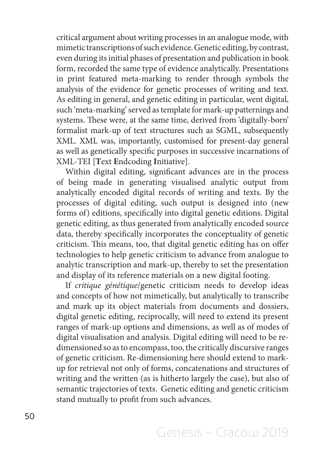critical argument about writing processes in an analogue mode, with mimetic transcriptions of such evidence. Genetic editing, by contrast, even during its initial phases of presentation and publication in book form, recorded the same type of evidence analytically. Presentations in print featured meta-marking to render through symbols the analysis of the evidence for genetic processes of writing and text. As editing in general, and genetic editing in particular, went digital, such 'meta-marking' served as template for mark-up patternings and systems. These were, at the same time, derived from 'digitally-born' formalist mark-up of text structures such as SGML, subsequently XML. XML was, importantly, customised for present-day general as well as genetically specific purposes in successive incarnations of XML-TEI [**T**ext **E**ndcoding **I**nitiative].

Within digital editing, significant advances are in the process of being made in generating visualised analytic output from analytically encoded digital records of writing and texts. By the processes of digital editing, such output is designed into (new forms of) editions, specifically into digital genetic editions. Digital genetic editing, as thus generated from analytically encoded source data, thereby specifically incorporates the conceptuality of genetic criticism. This means, too, that digital genetic editing has on offer technologies to help genetic criticism to advance from analogue to analytic transcription and mark-up, thereby to set the presentation and display of its reference materials on a new digital footing.

If *critique génétique*/genetic criticism needs to develop ideas and concepts of how not mimetically, but analytically to transcribe and mark up its object materials from documents and dossiers, digital genetic editing, reciprocally, will need to extend its present ranges of mark-up options and dimensions, as well as of modes of digital visualisation and analysis. Digital editing will need to be redimensioned so as to encompass, too, the critically discursive ranges of genetic criticism. Re-dimensioning here should extend to markup for retrieval not only of forms, concatenations and structures of writing and the written (as is hitherto largely the case), but also of semantic trajectories of texts. Genetic editing and genetic criticism stand mutually to profit from such advances.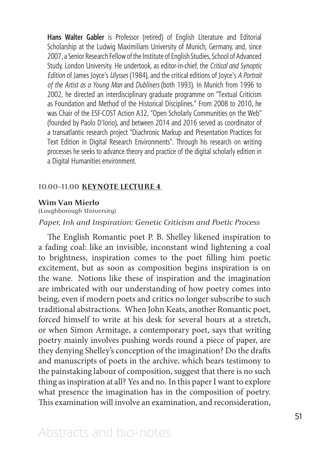**Hans Walter Gabler** is Professor (retired) of English Literature and Editorial Scholarship at the Ludwig Maximilians University of Munich, Germany, and, since 2007, a Senior Research Fellow of the Institute of English Studies, School of Advanced Study, London University. He undertook, as editor-in-chief, the *Critical and Synoptic Edition* of James Joyce's *Ulysses* (1984), and the critical editions of Joyce's *A Portrait of the Artist as a Young Man* and *Dubliners* (both 1993). In Munich from 1996 to 2002, he directed an interdisciplinary graduate programme on "Textual Criticism as Foundation and Method of the Historical Disciplines." From 2008 to 2010, he was Chair of the ESF-COST Action A32, "Open Scholarly Communities on the Web" (founded by Paolo D'Iorio), and between 2014 and 2016 served as coordinator of a transatlantic research project "Diachronic Markup and Presentation Practices for Text Edition in Digital Research Environments". Through his research on writing processes he seeks to advance theory and practice of the digital scholarly edition in a Digital Humanities environment.

#### 10.00–11.00 **KEYNOTE LECTURE 4**

#### **Wim Van Mierlo**

(Loughborough University)

# *Paper, Ink and Inspiration: Genetic Criticism and Poetic Process*

The English Romantic poet P. B. Shelley likened inspiration to a fading coal: like an invisible, inconstant wind lightening a coal to brightness, inspiration comes to the poet filling him poetic excitement, but as soon as composition begins inspiration is on the wane. Notions like these of inspiration and the imagination are imbricated with our understanding of how poetry comes into being, even if modern poets and critics no longer subscribe to such traditional abstractions. When John Keats, another Romantic poet, forced himself to write at his desk for several hours at a stretch, or when Simon Armitage, a contemporary poet, says that writing poetry mainly involves pushing words round a piece of paper, are they denying Shelley's conception of the imagination? Do the drafts and manuscripts of poets in the archive, which bears testimony to the painstaking labour of composition, suggest that there is no such thing as inspiration at all? Yes and no. In this paper I want to explore what presence the imagination has in the composition of poetry. This examination will involve an examination, and reconsideration,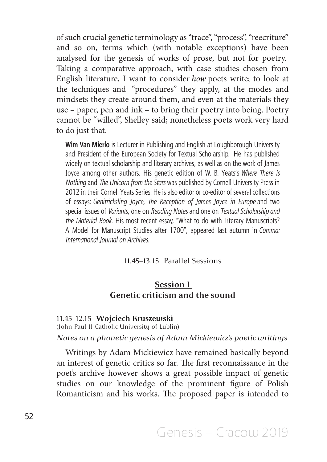of such crucial genetic terminology as "trace", "process", "reecriture" and so on, terms which (with notable exceptions) have been analysed for the genesis of works of prose, but not for poetry. Taking a comparative approach, with case studies chosen from English literature, I want to consider *how* poets write; to look at the techniques and "procedures" they apply, at the modes and mindsets they create around them, and even at the materials they use – paper, pen and ink – to bring their poetry into being. Poetry cannot be "willed", Shelley said; nonetheless poets work very hard to do just that.

**Wim Van Mierlo** is Lecturer in Publishing and English at Loughborough University and President of the European Society for Textual Scholarship. He has published widely on textual scholarship and literary archives, as well as on the work of James Joyce among other authors. His genetic edition of W. B. Yeats's *Where There is Nothing* and *The Unicorn from the Stars* was published by Cornell University Press in 2012 in their Cornell Yeats Series. He is also editor or co-editor of several collections of essays: *Genitricksling Joyce, The Reception of James Joyce in Europe* and two special issues of *Variants,* one on *Reading Notes* and one on *Textual Scholarship and the Material Book*. His most recent essay, "What to do with Literary Manuscripts? A Model for Manuscript Studies after 1700", appeared last autumn in *Comma: International Journal on Archives*.

# 11.45–13.15 Parallel Sessions

# **Session I Genetic criticism and the sound**

#### 11.45–12.15 **Wojciech Kruszewski**  (John Paul II Catholic University of Lublin)

# *Notes on a phonetic genesis of Adam Mickiewicz's poetic writings*

Writings by Adam Mickiewicz have remained basically beyond an interest of genetic critics so far. The first reconnaissance in the poet's archive however shows a great possible impact of genetic studies on our knowledge of the prominent figure of Polish Romanticism and his works. The proposed paper is intended to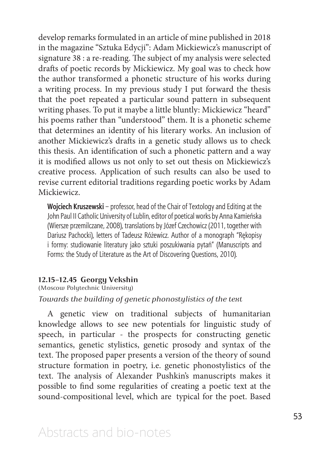develop remarks formulated in an article of mine published in 2018 in the magazine "Sztuka Edycji": Adam Mickiewicz's manuscript of signature 38 : a re-reading. The subject of my analysis were selected drafts of poetic records by Mickiewicz. My goal was to check how the author transformed a phonetic structure of his works during a writing process. In my previous study I put forward the thesis that the poet repeated a particular sound pattern in subsequent writing phases. To put it maybe a little bluntly: Mickiewicz "heard" his poems rather than "understood" them. It is a phonetic scheme that determines an identity of his literary works. An inclusion of another Mickiewicz's drafts in a genetic study allows us to check this thesis. An identification of such a phonetic pattern and a way it is modified allows us not only to set out thesis on Mickiewicz's creative process. Application of such results can also be used to revise current editorial traditions regarding poetic works by Adam Mickiewicz.

**Wojciech Kruszewski** – professor, head of the Chair of Textology and Editing at the John Paul II Catholic University of Lublin, editor of poetical works by Anna Kamieńska (Wiersze przemilczane, 2008), translations by Józef Czechowicz (2011, together with Dariusz Pachocki), letters of Tadeusz Różewicz. Author of a monograph "Rękopisy i formy: studiowanie literatury jako sztuki poszukiwania pytań" (Manuscripts and Forms: the Study of Literature as the Art of Discovering Questions, 2010).

#### **12.15–12.45 Georgy Vekshin**

(Moscow Polytechnic University)

### *Towards the building of genetic phonostylistics of the text*

A genetic view on traditional subjects of humanitarian knowledge allows to see new potentials for linguistic study of speech, in particular - the prospects for constructing genetic semantics, genetic stylistics, genetic prosody and syntax of the text. The proposed paper presents a version of the theory of sound structure formation in poetry, i.e. genetic phonostylistics of the text. The analysis of Alexander Pushkin's manuscripts makes it possible to find some regularities of creating a poetic text at the sound-compositional level, which are typical for the poet. Based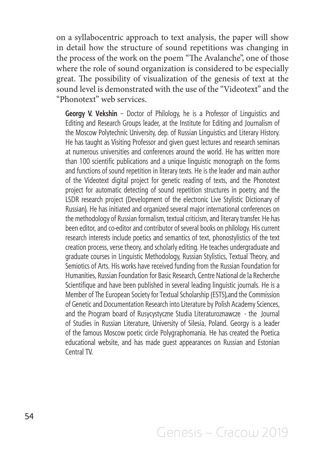on a syllabocentric approach to text analysis, the paper will show in detail how the structure of sound repetitions was changing in the process of the work on the poem "The Avalanche", one of those where the role of sound organization is considered to be especially great. The possibility of visualization of the genesis of text at the sound level is demonstrated with the use of the "Videotext" and the "Phonotext" web services.

**Georgy V. Vekshin** – Doctor of Philology, he is a Professor of Linguistics and Editing and Research Groups leader, at the Institute for Editing and Journalism of the Moscow Polytechnic University, dep. of Russian Linguistics and Literary History. He has taught as Visiting Professor and given guest lectures and research seminars at numerous universities and conferences around the world. He has written more than 100 scientific publications and a unique linguistic monograph on the forms and functions of sound repetition in literary texts. He is the leader and main author of the Videotext digital project for genetic reading of texts, and the Phonotext project for automatic detecting of sound repetition structures in poetry, and the LSDR research project (Development of the electronic Live Stylistic Dictionary of Russian). He has initiated and organized several major international conferences on the methodology of Russian formalism, textual criticism, and literary transfer. He has been editor, and co-editor and contributor of several books on philology. His current research interests include poetics and semantics of text, phonostylistics of the text creation process, verse theory, and scholarly editing. He teaches undergraduate and graduate courses in Linguistic Methodology, Russian Stylistics, Textual Theory, and Semiotics of Arts. His works have received funding from the Russian Foundation for Humanities, Russian Foundation for Basic Research, Centre National de la Recherche Scientifique and have been published in several leading linguistic journals. He is a Member of The European Society for Textual Scholarship (ESTS),and the Commission of Genetic and Documentation Research into Literature by Polish Academy Sciences, and the Program board of Rusycystyczne Studia Literaturoznawcze - the Journal of Studies in Russian Literature, University of Silesia, Poland. Georgy is a leader of the famous Moscow poetic circle Polygraphomania. He has created the Poetica educational website, and has made guest appearances on Russian and Estonian Central TV.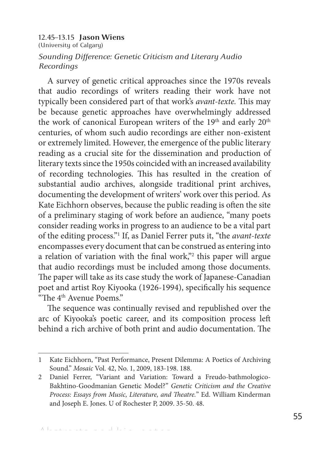# 12.45–13.15 **Jason Wiens**  (University of Calgary) *Sounding Difference: Genetic Criticism and Literary Audio Recordings*

A survey of genetic critical approaches since the 1970s reveals that audio recordings of writers reading their work have not typically been considered part of that work's *avant-texte.* This may be because genetic approaches have overwhelmingly addressed the work of canonical European writers of the 19<sup>th</sup> and early 20<sup>th</sup> centuries, of whom such audio recordings are either non-existent or extremely limited. However, the emergence of the public literary reading as a crucial site for the dissemination and production of literary texts since the 1950s coincided with an increased availability of recording technologies. This has resulted in the creation of substantial audio archives, alongside traditional print archives, documenting the development of writers' work over this period. As Kate Eichhorn observes, because the public reading is often the site of a preliminary staging of work before an audience, "many poets consider reading works in progress to an audience to be a vital part of the editing process."1 If, as Daniel Ferrer puts it, "the *avant-texte*  encompasses every document that can be construed as entering into a relation of variation with the final work,"<sup>2</sup> this paper will argue that audio recordings must be included among those documents. The paper will take as its case study the work of Japanese-Canadian poet and artist Roy Kiyooka (1926-1994), specifically his sequence "The 4th Avenue Poems."

The sequence was continually revised and republished over the arc of Kiyooka's poetic career, and its composition process left behind a rich archive of both print and audio documentation. The

<sup>1</sup> Kate Eichhorn, "Past Performance, Present Dilemma: A Poetics of Archiving Sound." *Mosaic* Vol. 42, No. 1, 2009, 183-198. 188.

<sup>2</sup> Daniel Ferrer, "Variant and Variation: Toward a Freudo-bathmologico-Bakhtino-Goodmanian Genetic Model?" *Genetic Criticism and the Creative Process: Essays from Music, Literature, and Theatre.*" Ed. William Kinderman and Joseph E. Jones. U of Rochester P, 2009. 35-50. 48.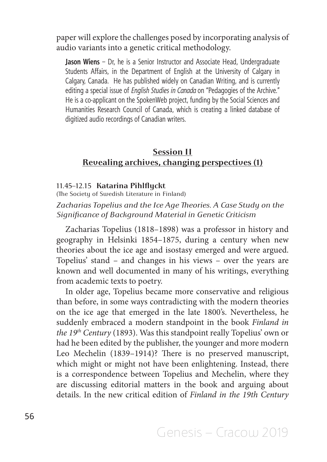paper will explore the challenges posed by incorporating analysis of audio variants into a genetic critical methodology.

**Jason Wiens** – Dr, he is a Senior Instructor and Associate Head, Undergraduate Students Affairs, in the Department of English at the University of Calgary in Calgary, Canada. He has published widely on Canadian Writing, and is currently editing a special issue of *English Studies in Canada* on "Pedagogies of the Archive." He is a co-applicant on the SpokenWeb project, funding by the Social Sciences and Humanities Research Council of Canada, which is creating a linked database of digitized audio recordings of Canadian writers.

# **Session II Revealing archives, changing perspectives (1)**

#### 11.45–12.15 **Katarina Pihlflyckt**

(The Society of Swedish Literature in Finland)

*Zacharias Topelius and the Ice Age Theories. A Case Study on the Significance of Background Material in Genetic Criticism*

Zacharias Topelius (1818–1898) was a professor in history and geography in Helsinki 1854–1875, during a century when new theories about the ice age and isostasy emerged and were argued. Topelius' stand – and changes in his views – over the years are known and well documented in many of his writings, everything from academic texts to poetry.

In older age, Topelius became more conservative and religious than before, in some ways contradicting with the modern theories on the ice age that emerged in the late 1800's. Nevertheless, he suddenly embraced a modern standpoint in the book *Finland in the 19th Century* (1893). Was this standpoint really Topelius' own or had he been edited by the publisher, the younger and more modern Leo Mechelin (1839–1914)? There is no preserved manuscript, which might or might not have been enlightening. Instead, there is a correspondence between Topelius and Mechelin, where they are discussing editorial matters in the book and arguing about details. In the new critical edition of *Finland in the 19th Century*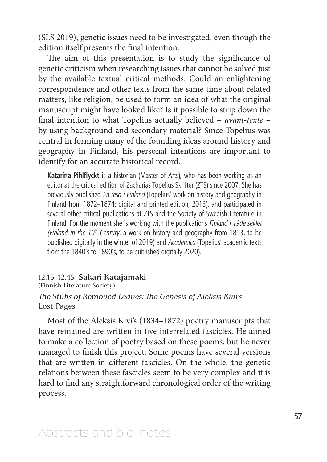(SLS 2019), genetic issues need to be investigated, even though the edition itself presents the final intention.

The aim of this presentation is to study the significance of genetic criticism when researching issues that cannot be solved just by the available textual critical methods. Could an enlightening correspondence and other texts from the same time about related matters, like religion, be used to form an idea of what the original manuscript might have looked like? Is it possible to strip down the final intention to what Topelius actually believed – *avant-texte* – by using background and secondary material? Since Topelius was central in forming many of the founding ideas around history and geography in Finland, his personal intentions are important to identify for an accurate historical record.

**Katarina Pihlflyckt** is a historian (Master of Arts), who has been working as an editor at the critical edition of Zacharias Topelius Skrifter (ZTS) since 2007. She has previously published *En resa i Finland* (Topelius' work on history and geography in Finland from 1872–1874; digital and printed edition, 2013), and participated in several other critical publications at ZTS and the Society of Swedish Literature in Finland. For the moment she is working with the publications *Finland i 19de seklet (Finland in the 19th Century*, a work on history and geography from 1893, to be published digitally in the winter of 2019) and *Academica* (Topelius' academic texts from the 1840's to 1890's, to be published digitally 2020).

# 12.15–12.45 **Sakari Katajamaki**

(Finnish Literature Society)

# *The Stubs of Removed Leaves: The Genesis of Aleksis Kivi's*  Lost Pages

Most of the Aleksis Kivi's (1834–1872) poetry manuscripts that have remained are written in five interrelated fascicles. He aimed to make a collection of poetry based on these poems, but he never managed to finish this project. Some poems have several versions that are written in different fascicles. On the whole, the genetic relations between these fascicles seem to be very complex and it is hard to find any straightforward chronological order of the writing process.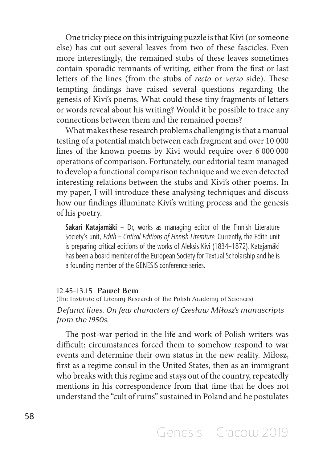One tricky piece on this intriguing puzzle is that Kivi (or someone else) has cut out several leaves from two of these fascicles. Even more interestingly, the remained stubs of these leaves sometimes contain sporadic remnants of writing, either from the first or last letters of the lines (from the stubs of *recto* or *verso* side). These tempting findings have raised several questions regarding the genesis of Kivi's poems. What could these tiny fragments of letters or words reveal about his writing? Would it be possible to trace any connections between them and the remained poems?

What makes these research problems challenging is that a manual testing of a potential match between each fragment and over 10 000 lines of the known poems by Kivi would require over 6 000 000 operations of comparison. Fortunately, our editorial team managed to develop a functional comparison technique and we even detected interesting relations between the stubs and Kivi's other poems. In my paper, I will introduce these analysing techniques and discuss how our findings illuminate Kivi's writing process and the genesis of his poetry.

**Sakari Katajamäki** – Dr, works as managing editor of the Finnish Literature Society's unit, *Edith – Critical Editions of Finnish Literature*. Currently, the Edith unit is preparing critical editions of the works of Aleksis Kivi (1834–1872). Katajamäki has been a board member of the European Society for Textual Scholarship and he is a founding member of the GENESIS conference series.

#### 12.45–13.15 **Paweł Bem**

(The Institute of Literary Research of The Polish Academy of Sciences) *Defunct lives. On few characters of Czesław Miłosz's manuscripts from the 1950s.*

The post-war period in the life and work of Polish writers was difficult: circumstances forced them to somehow respond to war events and determine their own status in the new reality. Miłosz, first as a regime consul in the United States, then as an immigrant who breaks with this regime and stays out of the country, repeatedly mentions in his correspondence from that time that he does not understand the "cult of ruins" sustained in Poland and he postulates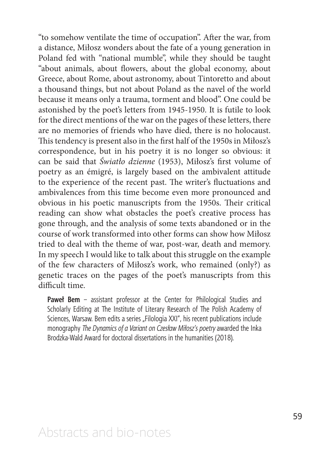"to somehow ventilate the time of occupation". After the war, from a distance, Miłosz wonders about the fate of a young generation in Poland fed with "national mumble", while they should be taught "about animals, about flowers, about the global economy, about Greece, about Rome, about astronomy, about Tintoretto and about a thousand things, but not about Poland as the navel of the world because it means only a trauma, torment and blood". One could be astonished by the poet's letters from 1945-1950. It is futile to look for the direct mentions of the war on the pages of these letters, there are no memories of friends who have died, there is no holocaust. This tendency is present also in the first half of the 1950s in Miłosz's correspondence, but in his poetry it is no longer so obvious: it can be said that *Światło dzienne* (1953), Miłosz's first volume of poetry as an émigré, is largely based on the ambivalent attitude to the experience of the recent past. The writer's fluctuations and ambivalences from this time become even more pronounced and obvious in his poetic manuscripts from the 1950s. Their critical reading can show what obstacles the poet's creative process has gone through, and the analysis of some texts abandoned or in the course of work transformed into other forms can show how Miłosz tried to deal with the theme of war, post-war, death and memory. In my speech I would like to talk about this struggle on the example of the few characters of Miłosz's work, who remained (only?) as genetic traces on the pages of the poet's manuscripts from this difficult time.

**Paweł Bem** – assistant professor at the Center for Philological Studies and Scholarly Editing at The Institute of Literary Research of The Polish Academy of Sciences, Warsaw. Bem edits a series "Filologia XXI", his recent publications include monography *The Dynamics of a Variant on Czesław Miłosz's poetry* awarded the Inka Brodzka-Wald Award for doctoral dissertations in the humanities (2018).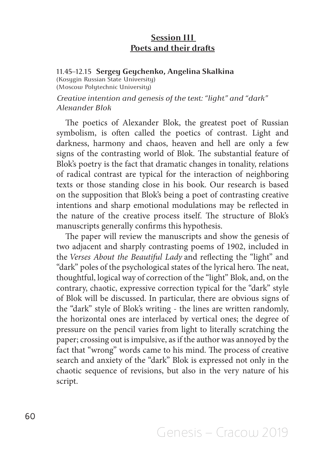# **Session III Poets and their drafts**

### 11.45–12.15 **Sergey Geychenko, Angelina Skalkina**

(Kosygin Russian State University) (Moscow Polytechnic University)

*Creative intention and genesis of the text: "light" and "dark" Alexander Blok*

The poetics of Alexander Blok, the greatest poet of Russian symbolism, is often called the poetics of contrast. Light and darkness, harmony and chaos, heaven and hell are only a few signs of the contrasting world of Blok. The substantial feature of Blok's poetry is the fact that dramatic changes in tonality, relations of radical contrast are typical for the interaction of neighboring texts or those standing close in his book. Our research is based on the supposition that Blok's being a poet of contrasting creative intentions and sharp emotional modulations may be reflected in the nature of the creative process itself. The structure of Blok's manuscripts generally confirms this hypothesis.

The paper will review the manuscripts and show the genesis of two adjacent and sharply contrasting poems of 1902, included in the *Verses About the Beautiful Lady* and reflecting the "light" and "dark" poles of the psychological states of the lyrical hero. The neat, thoughtful, logical way of correction of the "light" Blok, and, on the contrary, chaotic, expressive correction typical for the "dark" style of Blok will be discussed. In particular, there are obvious signs of the "dark" style of Blok's writing - the lines are written randomly, the horizontal ones are interlaced by vertical ones; the degree of pressure on the pencil varies from light to literally scratching the paper; crossing out is impulsive, as if the author was annoyed by the fact that "wrong" words came to his mind. The process of creative search and anxiety of the "dark" Blok is expressed not only in the chaotic sequence of revisions, but also in the very nature of his script.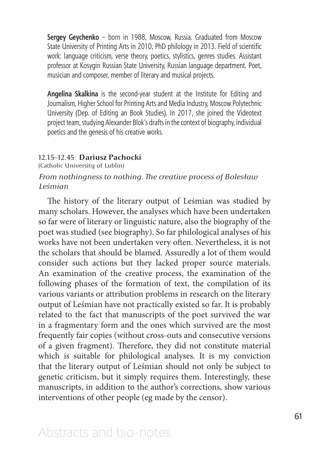**Sergey Geychenko** – born in 1988, Moscow, Russia. Graduated from Moscow State University of Printing Arts in 2010, PhD philology in 2013. Field of scientific work: language criticism, verse theory, poetics, stylistics, genres studies. Assistant professor at Kosygin Russian State University, Russian language department. Poet, musician and composer, member of literary and musical projects.

**Angelina Skalkina** is the second-year student at the Institute for Editing and Journalism, Higher School for Printing Arts and Media Industry, Moscow Polytechnic University (Dep. of Editing an Book Studies). In 2017, she joined the Videotext project team, studying Alexander Blok's drafts in the context of biography, individual poetics and the genesis of his creative works.

### 12.15–12.45 **Dariusz Pachocki**

(Catholic University of Lublin)

# *From nothingness to nothing. The creative process of Bolesław Leśmian*

The history of the literary output of Leśmian was studied by many scholars. However, the analyses which have been undertaken so far were of literary or linguistic nature, also the biography of the poet was studied (see biography). So far philological analyses of his works have not been undertaken very often. Nevertheless, it is not the scholars that should be blamed. Assuredly a lot of them would consider such actions but they lacked proper source materials. An examination of the creative process, the examination of the following phases of the formation of text, the compilation of its various variants or attribution problems in research on the literary output of Leśmian have not practically existed so far. It is probably related to the fact that manuscripts of the poet survived the war in a fragmentary form and the ones which survived are the most frequently fair copies (without cross-outs and consecutive versions of a given fragment). Therefore, they did not constitute material which is suitable for philological analyses. It is my conviction that the literary output of Leśmian should not only be subject to genetic criticism, but it simply requires them. Interestingly, these manuscripts, in addition to the author's corrections, show various interventions of other people (eg made by the censor).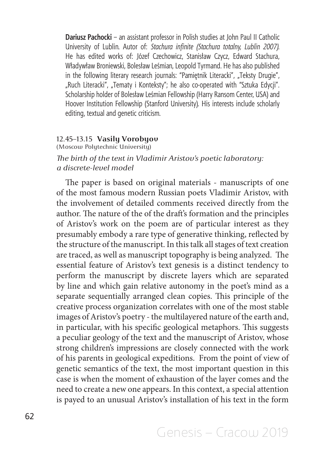**Dariusz Pachocki** – an assistant professor in Polish studies at John Paul II Catholic University of Lublin. Autor of: *Stachura infinite (Stachura totalny, Lublin 2007).*  He has edited works of: Józef Czechowicz, Stanisław Czycz, Edward Stachura, Władywław Broniewski, Bolesław Leśmian, Leopold Tyrmand. He has also published in the following literary research journals: "Pamiętnik Literacki", "Teksty Drugie", "Ruch Literacki", "Tematy i Konteksty"; he also co-operated with "Sztuka Edycji". Scholarship holder of Bolesław Leśmian Fellowship (Harry Ransom Center, USA) and Hoover Institution Fellowship (Stanford University). His interests include scholarly editing, textual and genetic criticism.

### 12.45–13.15 **Vasily Vorobyov**

(Moscow Polytechnic University)

# *The birth of the text in Vladimir Aristov's poetic laboratory: a discrete-level model*

The paper is based on original materials - manuscripts of one of the most famous modern Russian poets Vladimir Aristov, with the involvement of detailed comments received directly from the author. The nature of the of the draft's formation and the principles of Aristov's work on the poem are of particular interest as they presumably embody a rare type of generative thinking, reflected by the structure of the manuscript. In this talk all stages of text creation are traced, as well as manuscript topography is being analyzed. The essential feature of Aristov's text genesis is a distinct tendency to perform the manuscript by discrete layers which are separated by line and which gain relative autonomy in the poet's mind as a separate sequentially arranged clean copies. This principle of the creative process organization correlates with one of the most stable images of Aristov's poetry - the multilayered nature of the earth and, in particular, with his specific geological metaphors. This suggests a peculiar geology of the text and the manuscript of Aristov, whose strong children's impressions are closely connected with the work of his parents in geological expeditions. From the point of view of genetic semantics of the text, the most important question in this case is when the moment of exhaustion of the layer comes and the need to create a new one appears. In this context, a special attention is payed to an unusual Aristov's installation of his text in the form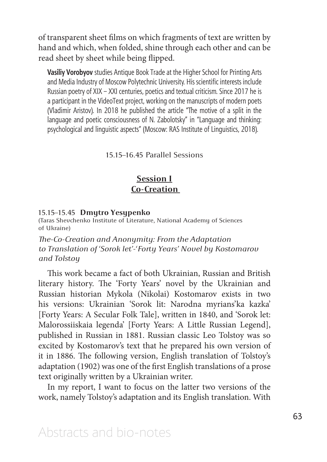of transparent sheet films on which fragments of text are written by hand and which, when folded, shine through each other and can be read sheet by sheet while being flipped.

**Vasiliy Vorobyov** studies Antique Book Trade at the Higher School for Printing Arts and Media Industry of Moscow Polytechnic University. His scientific interests include Russian poetry of XIX – XXI centuries, poetics and textual criticism. Since 2017 he is a participant in the VideoText project, working on the manuscripts of modern poets (Vladimir Aristov). In 2018 he published the article "The motive of a split in the language and poetic consciousness of N. Zabolotsky" in "Language and thinking: psychological and linguistic aspects" (Moscow: RAS Institute of Linguistics, 2018).

15.15–16.45 Parallel Sessions

# **Session I Co-Creation**

#### 15.15–15.45 **Dmytro Yesypenko**

(Taras Shevchenko Institute of Literature, National Academy of Sciences of Ukraine)

*The-Co-Creation and Anonymity: From the Adaptation to Translation of 'Sorok let'-'Forty Years' Novel by Kostomarov and Tolstoy*

This work became a fact of both Ukrainian, Russian and British literary history. The 'Forty Years' novel by the Ukrainian and Russian historian Mykola (Nikolai) Kostomarov exists in two his versions: Ukrainian 'Sorok lit: Narodna myrians'ka kazka' [Forty Years: A Secular Folk Tale], written in 1840, and 'Sorok let: Malorossiiskaia legenda' [Forty Years: A Little Russian Legend], published in Russian in 1881. Russian classic Leo Tolstoy was so excited by Kostomarov's text that he prepared his own version of it in 1886. The following version, English translation of Tolstoy's adaptation (1902) was one of the first English translations of a prose text originally written by a Ukrainian writer.

In my report, I want to focus on the latter two versions of the work, namely Tolstoy's adaptation and its English translation. With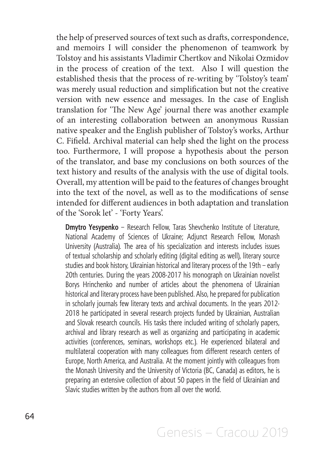the help of preserved sources of text such as drafts, correspondence, and memoirs I will consider the phenomenon of teamwork by Tolstoy and his assistants Vladimir Chertkov and Nikolai Ozmidov in the process of creation of the text. Also I will question the established thesis that the process of re-writing by 'Tolstoy's team' was merely usual reduction and simplification but not the creative version with new essence and messages. In the case of English translation for 'The New Age' journal there was another example of an interesting collaboration between an anonymous Russian native speaker and the English publisher of Tolstoy's works, Arthur C. Fifield. Archival material can help shed the light on the process too. Furthermore, I will propose a hypothesis about the person of the translator, and base my conclusions on both sources of the text history and results of the analysis with the use of digital tools. Overall, my attention will be paid to the features of changes brought into the text of the novel, as well as to the modifications of sense intended for different audiences in both adaptation and translation of the 'Sorok let' - 'Forty Years'.

**Dmytro Yesypenko** – Research Fellow, Taras Shevchenko Institute of Literature, National Academy of Sciences of Ukraine; Adjunct Research Fellow, Monash University (Australia). The area of his specialization and interests includes issues of textual scholarship and scholarly editing (digital editing as well), literary source studies and book history, Ukrainian historical and literary process of the 19th – early 20th centuries. During the years 2008-2017 his monograph on Ukrainian novelist Borys Hrinchenko and number of articles about the phenomena of Ukrainian historical and literary process have been published. Also, he prepared for publication in scholarly journals few literary texts and archival documents. In the years 2012- 2018 he participated in several research projects funded by Ukrainian, Australian and Slovak research councils. His tasks there included writing of scholarly papers, archival and library research as well as organizing and participating in academic activities (conferences, seminars, workshops etc.). He experienced bilateral and multilateral cooperation with many colleagues from different research centers of Europe, North America, and Australia. At the moment jointly with colleagues from the Monash University and the University of Victoria (BC, Canada) as editors, he is preparing an extensive collection of about 50 papers in the field of Ukrainian and Slavic studies written by the authors from all over the world.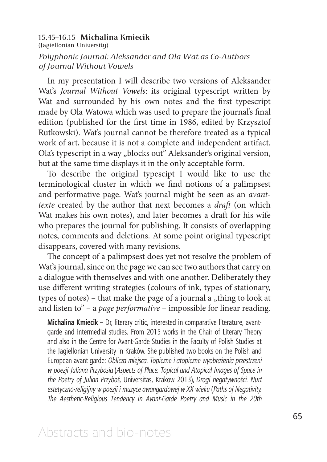### 15.45–16.15 **Michalina Kmiecik**  (Jagiellonian University) *Polyphonic Journal: Aleksander and Ola Wat as Co-Authors of Journal Without Vowels*

In my presentation I will describe two versions of Aleksander Wat's *Journal Without Vowels*: its original typescript written by Wat and surrounded by his own notes and the first typescript made by Ola Watowa which was used to prepare the journal's final edition (published for the first time in 1986, edited by Krzysztof Rutkowski). Wat's journal cannot be therefore treated as a typical work of art, because it is not a complete and independent artifact. Ola's typescript in a way "blocks out" Aleksander's original version, but at the same time displays it in the only acceptable form.

To describe the original typescipt I would like to use the terminological cluster in which we find notions of a palimpsest and performative page. Wat's journal might be seen as an *avanttexte* created by the author that next becomes a *draft* (on which Wat makes his own notes), and later becomes a draft for his wife who prepares the journal for publishing. It consists of overlapping notes, comments and deletions. At some point original typescript disappears, covered with many revisions.

The concept of a palimpsest does yet not resolve the problem of Wat's journal, since on the page we can see two authors that carry on a dialogue with themselves and with one another. Deliberately they use different writing strategies (colours of ink, types of stationary, types of notes) – that make the page of a journal  $a_1$ , thing to look at and listen to" – a *page performative* – impossible for linear reading.

**Michalina Kmiecik** – Dr, literary critic, interested in comparative literature, avantgarde and intermedial studies. From 2015 works in the Chair of Literary Theory and also in the Centre for Avant-Garde Studies in the Faculty of Polish Studies at the Jagiellonian University in Kraków. She published two books on the Polish and European avant-garde: *Oblicza miejsca. Topiczne i atopiczne wyobrażenia przestrzeni w poezji Juliana Przybosia* (*Aspects of Place. Topical and Atopical Images of Space in the Poetry of Julian Przyboś*, Universitas, Krakow 2013), *Drogi negatywności. Nurt estetyczno-religijny w poezji i muzyce awangardowej w XX wieku* (*Paths of Negativity. The Aesthetic-Religious Tendency in Avant-Garde Poetry and Music in the 20th*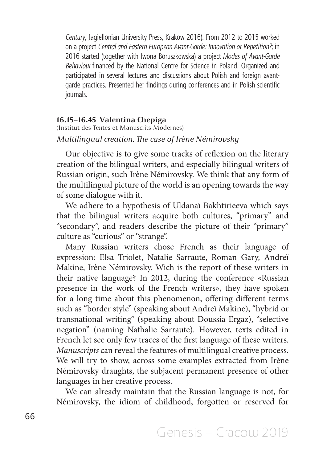*Century*, Jagiellonian University Press, Krakow 2016). From 2012 to 2015 worked on a project *Central and Eastern European Avant-Garde: Innovation or Repetition?*; in 2016 started (together with Iwona Boruszkowska) a project *Modes of Avant-Garde Behaviour* financed by the National Centre for Science in Poland. Organized and participated in several lectures and discussions about Polish and foreign avantgarde practices. Presented her findings during conferences and in Polish scientific journals.

# **16.15–16.45 Valentina Chepiga**

(Institut des Textes et Manuscrits Modernes)

# *Multilingual creation. The case of Irène Némirovsky*

Our objective is to give some tracks of reflexion on the literary creation of the bilingual writers, and especially bilingual writers of Russian origin, such Irène Némirovsky. We think that any form of the multilingual picture of the world is an opening towards the way of some dialogue with it.

We adhere to a hypothesis of Uldanaï Bakhtirieeva which says that the bilingual writers acquire both cultures, "primary" and "secondary", and readers describe the picture of their "primary" culture as "curious" or "strange".

Many Russian writers chose French as their language of expression: Elsa Triolet, Natalie Sarraute, Roman Gary, Andreï Makine, Irène Némirovsky. Wich is the report of these writers in their native language? In 2012, during the conference «Russian presence in the work of the French writers», they have spoken for a long time about this phenomenon, offering different terms such as "border style" (speaking about Andreï Makine), "hybrid or transnational writing" (speaking about Doussia Ergaz), "selective negation" (naming Nathalie Sarraute). However, texts edited in French let see only few traces of the first language of these writers. *Manuscripts* can reveal the features of multilingual creative process. We will try to show, across some examples extracted from Irène Némirovsky draughts, the subjacent permanent presence of other languages in her creative process.

We can already maintain that the Russian language is not, for Némirovsky, the idiom of childhood, forgotten or reserved for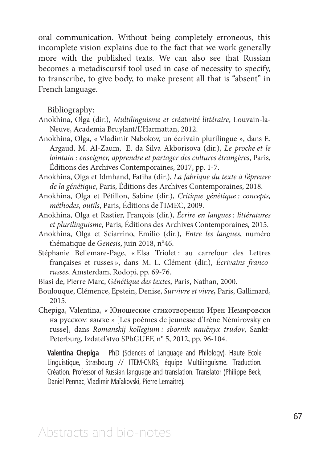oral communication. Without being completely erroneous, this incomplete vision explains due to the fact that we work generally more with the published texts. We can also see that Russian becomes a metadiscursif tool used in case of necessity to specify, to transcribe, to give body, to make present all that is "absent" in French language.

Bibliography:

- Anokhina, Olga (dir.), *Multilinguisme et créativité littéraire*, Louvain-la-Neuve, Academia Bruylant/L'Harmattan, 2012.
- Anokhina, Olga, « Vladimir Nabokov, un écrivain plurilingue », dans E. Argaud, M. Al-Zaum, E. da Silva Akborisova (dir.), *Le proche et le lointain : enseigner, apprendre et partager des cultures étrangères*, Paris, Éditions des Archives Contemporaines, 2017, pp. 1-7.
- Anokhina, Olga et Idmhand, Fatiha (dir.), *La fabrique du texte à l'épreuve de la génétique*, Paris, Éditions des Archives Contemporaines, 2018.
- Anokhina, Olga et Pétillon, Sabine (dir.), *Critique génétique : concepts, méthodes, outils*, Paris, Éditions de l'IMEC, 2009.
- Anokhina, Olga et Rastier, François (dir.), *Écrire en langues : littératures et plurilinguisme*, Paris, Éditions des Archives Contemporaines*,* 2015.
- Anokhina, Olga et Sciarrino, Emilio (dir.), *Entre les langues*, numéro thématique de *Genesis*, juin 2018, n°46.
- Stéphanie Bellemare-Page, « Elsa Triolet : au carrefour des Lettres françaises et russes », dans M. L. Clément (dir.), *Écrivains francorusses*, Amsterdam, Rodopi, pp. 69-76.

Biasi de, Pierre Marc, *Génétique des textes*, Paris, Nathan, 2000.

- Boulouque, Clémence, Epstein, Denise, *Survivre et vivre,* Paris, Gallimard, 2015.
- Chepiga, Valentina, « Юношеские стихотворения Ирен Немировски на русском языке » [Les poèmes de jeunesse d'Irène Némirovsky en russe], dans *Romanskij kollegium : sbornik naučnyx trudov*, Sankt-Peterburg, Izdatel'stvo SPbGUEF, n° 5, 2012, pp. 96-104.

**Valentina Chepiga** – PhD (Sciences of Language and Philology), Haute Ecole Linguistique, Strasbourg // ITEM-CNRS, équipe Multilinguisme. Traduction. Création. Professor of Russian language and translation. Translator (Philippe Beck, Daniel Pennac, Vladimir Maïakovski, Pierre Lemaitre).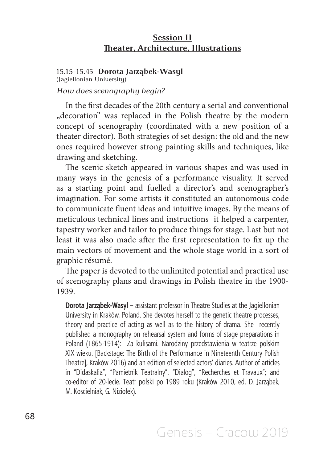# **Session II Theater, Architecture, Illustrations**

# 15.15–15.45 **Dorota Jarząbek-Wasyl**

(Jagiellonian University)

### *How does scenography begin?*

In the first decades of the 20th century a serial and conventional "decoration" was replaced in the Polish theatre by the modern concept of scenography (coordinated with a new position of a theater director). Both strategies of set design: the old and the new ones required however strong painting skills and techniques, like drawing and sketching.

The scenic sketch appeared in various shapes and was used in many ways in the genesis of a performance visuality. It served as a starting point and fuelled a director's and scenographer's imagination. For some artists it constituted an autonomous code to communicate fluent ideas and intuitive images. By the means of meticulous technical lines and instructions it helped a carpenter, tapestry worker and tailor to produce things for stage. Last but not least it was also made after the first representation to fix up the main vectors of movement and the whole stage world in a sort of graphic résumé.

The paper is devoted to the unlimited potential and practical use of scenography plans and drawings in Polish theatre in the 1900- 1939.

**Dorota Jarząbek-Wasyl** – assistant professor in Theatre Studies at the Jagiellonian University in Kraków, Poland. She devotes herself to the genetic theatre processes, theory and practice of acting as well as to the history of drama. She recently published a monography on rehearsal system and forms of stage preparations in Poland (1865-1914): Za kulisami. Narodziny przedstawienia w teatrze polskim XIX wieku. [Backstage: The Birth of the Performance in Nineteenth Century Polish Theatre], Kraków 2016) and an edition of selected actors' diaries. Author of articles in "Didaskalia", "Pamietnik Teatralny", "Dialog", "Recherches et Travaux"; and co-editor of 20-lecie. Teatr polski po 1989 roku (Kraków 2010, ed. D. Jarząbek, M. Koscielniak, G. Niziołek).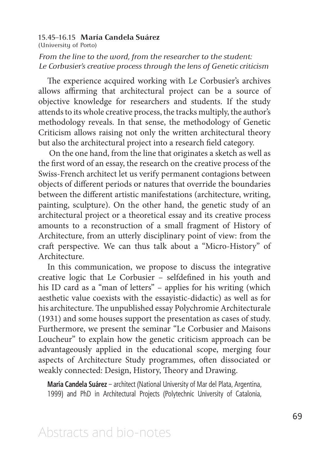# 15.45–16.15 **María Candela Suárez**

(University of Porto)

*From the line to the word, from the researcher to the student: Le Corbusier's creative process through the lens of Genetic criticism*

The experience acquired working with Le Corbusier's archives allows affirming that architectural project can be a source of objective knowledge for researchers and students. If the study attends to its whole creative process, the tracks multiply, the author's methodology reveals. In that sense, the methodology of Genetic Criticism allows raising not only the written architectural theory but also the architectural project into a research field category.

 On the one hand, from the line that originates a sketch as well as the first word of an essay, the research on the creative process of the Swiss-French architect let us verify permanent contagions between objects of different periods or natures that override the boundaries between the different artistic manifestations (architecture, writing, painting, sculpture). On the other hand, the genetic study of an architectural project or a theoretical essay and its creative process amounts to a reconstruction of a small fragment of History of Architecture, from an utterly disciplinary point of view: from the craft perspective. We can thus talk about a "Micro-History" of Architecture.

In this communication, we propose to discuss the integrative creative logic that Le Corbusier – selfdefined in his youth and his ID card as a "man of letters" – applies for his writing (which aesthetic value coexists with the essayistic-didactic) as well as for his architecture. The unpublished essay Polychromie Architecturale (1931) and some houses support the presentation as cases of study. Furthermore, we present the seminar "Le Corbusier and Maisons Loucheur" to explain how the genetic criticism approach can be advantageously applied in the educational scope, merging four aspects of Architecture Study programmes, often dissociated or weakly connected: Design, History, Theory and Drawing.

**María Candela Suárez** – architect (National University of Mar del Plata, Argentina, 1999) and PhD in Architectural Projects (Polytechnic University of Catalonia,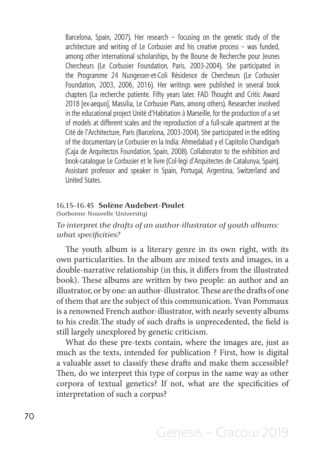Barcelona, Spain, 2007). Her research – focusing on the genetic study of the architecture and writing of Le Corbusier and his creative process – was funded, among other international scholarships, by the Bourse de Recherche pour Jeunes Chercheurs (Le Corbusier Foundation, Paris, 2003-2004). She participated in the Programme 24 Nungesser-et-Coli Résidence de Chercheurs (Le Corbusier Foundation, 2003, 2006, 2016). Her writings were published in several book chapters (La recherche patiente. Fifty years later. FAD Thought and Critic Award 2018 [ex-aequo], Massilia, Le Corbusier Plans, among others). Researcher involved in the educational project Unité d'Habitation à Marseille, for the production of a set of models at different scales and the reproduction of a full-scale apartment at the Cité de l'Architecture, Paris (Barcelona, 2003-2004). She participated in the editing of the documentary Le Corbusier en la India: Ahmedabad y el Capitolio Chandigarh (Caja de Arquitectos Foundation, Spain, 2008). Collaborator to the exhibition and book-catalogue Le Corbusier et le livre (Col·legi d'Arquitectes de Catalunya, Spain). Assistant professor and speaker in Spain, Portugal, Argentina, Switzerland and United States.

#### 16.15–16.45 **Solène Audebert-Poulet**

(Sorbonne Nouvelle University)

# *To interpret the drafts of an author-illustrator of youth albums: what specificities?*

The youth album is a literary genre in its own right, with its own particularities. In the album are mixed texts and images, in a double-narrative relationship (in this, it differs from the illustrated book). These albums are written by two people: an author and an illustrator, or by one: an author-illustrator. These are the drafts of one of them that are the subject of this communication. Yvan Pommaux is a renowned French author-illustrator, with nearly seventy albums to his credit.The study of such drafts is unprecedented, the field is still largely unexplored by genetic criticism.

What do these pre-texts contain, where the images are, just as much as the texts, intended for publication ? First, how is digital a valuable asset to classify these drafts and make them accessible? Then, do we interpret this type of corpus in the same way as other corpora of textual genetics? If not, what are the specificities of interpretation of such a corpus?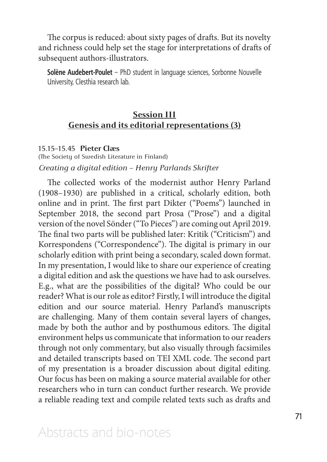The corpus is reduced: about sixty pages of drafts. But its novelty and richness could help set the stage for interpretations of drafts of subsequent authors-illustrators.

**Solène Audebert-Poulet** – PhD student in language sciences, Sorbonne Nouvelle University, Clesthia research lab.

# **Session III Genesis and its editorial representations (3)**

#### 15.15–15.45 **Pieter Claes**

(The Society of Swedish Literature in Finland) *Creating a digital edition – Henry Parlands Skrifter*

The collected works of the modernist author Henry Parland (1908–1930) are published in a critical, scholarly edition, both online and in print. The first part Dikter ("Poems") launched in September 2018, the second part Prosa ("Prose") and a digital version of the novel Sönder ("To Pieces") are coming out April 2019. The final two parts will be published later: Kritik ("Criticism") and Korrespondens ("Correspondence"). The digital is primary in our scholarly edition with print being a secondary, scaled down format. In my presentation, I would like to share our experience of creating a digital edition and ask the questions we have had to ask ourselves. E.g., what are the possibilities of the digital? Who could be our reader? What is our role as editor? Firstly, I will introduce the digital edition and our source material. Henry Parland's manuscripts are challenging. Many of them contain several layers of changes, made by both the author and by posthumous editors. The digital environment helps us communicate that information to our readers through not only commentary, but also visually through facsimiles and detailed transcripts based on TEI XML code. The second part of my presentation is a broader discussion about digital editing. Our focus has been on making a source material available for other researchers who in turn can conduct further research. We provide a reliable reading text and compile related texts such as drafts and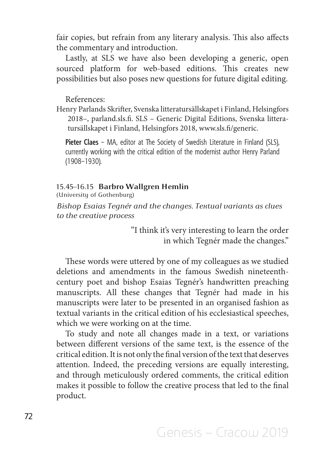fair copies, but refrain from any literary analysis. This also affects the commentary and introduction.

Lastly, at SLS we have also been developing a generic, open sourced platform for web-based editions. This creates new possibilities but also poses new questions for future digital editing.

References:

Henry Parlands Skrifter, Svenska litteratursällskapet i Finland, Helsingfors 2018–, parland.sls.fi. SLS – Generic Digital Editions, Svenska litteratursällskapet i Finland, Helsingfors 2018, www.sls.fi/generic.

**Pieter Claes** – MA, editor at The Society of Swedish Literature in Finland (SLS), currently working with the critical edition of the modernist author Henry Parland (1908–1930).

# 15.45–16.15 **Barbro Wallgren Hemlin**

(University of Gothenburg)

*Bishop Esaias Tegnér and the changes. Textual variants as clues to the creative process* 

> "I think it's very interesting to learn the order in which Tegnér made the changes."

These words were uttered by one of my colleagues as we studied deletions and amendments in the famous Swedish nineteenthcentury poet and bishop Esaias Tegnér's handwritten preaching manuscripts. All these changes that Tegnér had made in his manuscripts were later to be presented in an organised fashion as textual variants in the critical edition of his ecclesiastical speeches, which we were working on at the time.

To study and note all changes made in a text, or variations between different versions of the same text, is the essence of the critical edition. It is not only the final version of the text that deserves attention. Indeed, the preceding versions are equally interesting, and through meticulously ordered comments, the critical edition makes it possible to follow the creative process that led to the final product.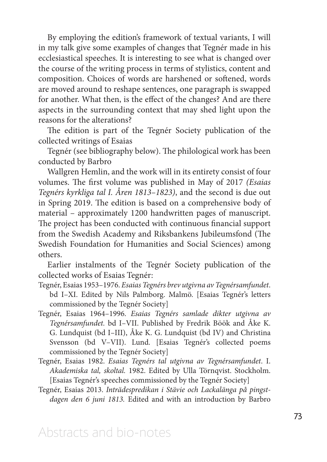By employing the edition's framework of textual variants, I will in my talk give some examples of changes that Tegnér made in his ecclesiastical speeches. It is interesting to see what is changed over the course of the writing process in terms of stylistics, content and composition. Choices of words are harshened or softened, words are moved around to reshape sentences, one paragraph is swapped for another. What then, is the effect of the changes? And are there aspects in the surrounding context that may shed light upon the reasons for the alterations?

The edition is part of the Tegnér Society publication of the collected writings of Esaias

Tegnér (see bibliography below). The philological work has been conducted by Barbro

Wallgren Hemlin, and the work will in its entirety consist of four volumes. The first volume was published in May of 2017 *(Esaias Tegnérs kyrkliga tal I. Åren 1813–1823)*, and the second is due out in Spring 2019. The edition is based on a comprehensive body of material – approximately 1200 handwritten pages of manuscript. The project has been conducted with continuous financial support from the Swedish Academy and Riksbankens Jubileumsfond (The Swedish Foundation for Humanities and Social Sciences) among others.

Earlier instalments of the Tegnér Society publication of the collected works of Esaias Tegnér:

- Tegnér, Esaias 1953–1976. *Esaias Tegnérs brev utgivna av Tegnérsamfundet*. bd I–XI. Edited by Nils Palmborg. Malmö. [Esaias Tegnér's letters commissioned by the Tegnér Society]
- Tegnér, Esaias 1964–1996. *Esaias Tegnérs samlade dikter utgivna av Tegnérsamfundet.* bd I–VII. Published by Fredrik Böök and Åke K. G. Lundquist (bd I–III), Åke K. G. Lundquist (bd IV) and Christina Svensson (bd V–VII). Lund. [Esaias Tegnér's collected poems commissioned by the Tegnér Society]
- Tegnér, Esaias 1982. *Esaias Tegnérs tal utgivna av Tegnérsamfundet*. I. *Akademiska tal, skoltal.* 1982. Edited by Ulla Törnqvist. Stockholm. [Esaias Tegnér's speeches commissioned by the Tegnér Society]
- Tegnér, Esaias 2013. *Inträdespredikan i Stävie och Lackalänga på pingstdagen den 6 juni 1813.* Edited and with an introduction by Barbro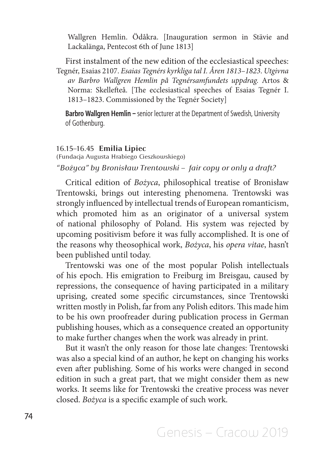Wallgren Hemlin. Ödåkra. [Inauguration sermon in Stävie and Lackalänga, Pentecost 6th of June 1813]

First instalment of the new edition of the ecclesiastical speeches: Tegnér, Esaias 2107. *Esaias Tegnérs kyrkliga tal I. Åren 1813–1823*. *Utgivna av Barbro Wallgren Hemlin på Tegnérsamfundets uppdrag.* Artos & Norma: Skellefteå. [The ecclesiastical speeches of Esaias Tegnér I. 1813–1823. Commissioned by the Tegnér Society]

**Barbro Wallgren Hemlin –** senior lecturer at the Department of Swedish, University of Gothenburg.

#### 16.15–16.45 **Emilia Lipiec**

(Fundacja Augusta Hrabiego Cieszkowskiego) *"Bożyca" by Bronisław Trentowski – fair copy or only a draft?* 

Critical edition of *Bożyca*, philosophical treatise of Bronisław Trentowski, brings out interesting phenomena. Trentowski was strongly influenced by intellectual trends of European romanticism, which promoted him as an originator of a universal system of national philosophy of Poland. His system was rejected by upcoming positivism before it was fully accomplished. It is one of the reasons why theosophical work, *Bożyca*, his *opera vitae*, hasn't been published until today.

Trentowski was one of the most popular Polish intellectuals of his epoch. His emigration to Freiburg im Breisgau, caused by repressions, the consequence of having participated in a military uprising, created some specific circumstances, since Trentowski written mostly in Polish, far from any Polish editors. This made him to be his own proofreader during publication process in German publishing houses, which as a consequence created an opportunity to make further changes when the work was already in print.

But it wasn't the only reason for those late changes: Trentowski was also a special kind of an author, he kept on changing his works even after publishing. Some of his works were changed in second edition in such a great part, that we might consider them as new works. It seems like for Trentowski the creative process was never closed. *Bożyca* is a specific example of such work.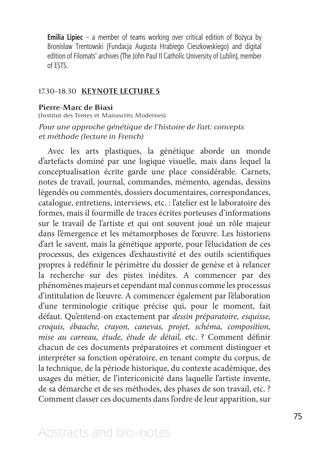**Emilia Lipiec** – a member of teams working over critical edition of Bożyca by Bronisław Trentowski (Fundacja Augusta Hrabiego Cieszkowskiego) and digital edition of Filomats' archives (The John Paul II Catholic University of Lublin), member of ESTS.

### 17.30–18.30 **KEYNOTE LECTURE 5**

#### **Pierre-Marc de Biasi**

(Institut des Textes et Manuscrits Modernes)

*Pour une approche génétique de l'histoire de l'art: concepts et méthode (lecture in French)*

Avec les arts plastiques, la génétique aborde un monde d'artefacts dominé par une logique visuelle, mais dans lequel la conceptualisation écrite garde une place considérable. Carnets, notes de travail, journal, commandes, mémento, agendas, dessins légendés ou commentés, dossiers documentaires, correspondances, catalogue, entretiens, interviews, etc. : l'atelier est le laboratoire des formes, mais il fourmille de traces écrites porteuses d'informations sur le travail de l'artiste et qui ont souvent joué un rôle majeur dans l'émergence et les métamorphoses de l'œuvre. Les historiens d'art le savent, mais la génétique apporte, pour l'élucidation de ces processus, des exigences d'exhaustivité et des outils scientifiques propres à redéfinir le périmètre du dossier de genèse et à relancer la recherche sur des pistes inédites. A commencer par des phénomènes majeurs et cependant mal connus comme les processus d'intitulation de l'œuvre. A commencer également par l'élaboration d'une terminologie critique précise qui, pour le moment, fait défaut. Qu'entend-on exactement par *dessin préparatoire, esquisse, croquis, ébauche, crayon, canevas, projet, schéma, composition, mise au carreau, étude, étude de détail,* etc. ? Comment définir chacun de ces documents préparatoires et comment distinguer et interpréter sa fonction opératoire, en tenant compte du corpus, de la technique, de la période historique, du contexte académique, des usages du métier, de l'intericonicité dans laquelle l'artiste invente, de sa démarche et de ses méthodes, des phases de son travail, etc. ? Comment classer ces documents dans l'ordre de leur apparition, sur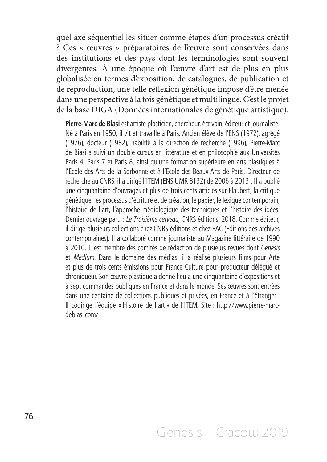quel axe séquentiel les situer comme étapes d'un processus créatif ? Ces « œuvres » préparatoires de l'œuvre sont conservées dans des institutions et des pays dont les terminologies sont souvent divergentes. À une époque où l'œuvre d'art est de plus en plus globalisée en termes d'exposition, de catalogues, de publication et de reproduction, une telle réflexion génétique impose d'être menée dans une perspective à la fois génétique et multilingue. C'est le projet de la base DIGA (Données internationales de génétique artistique).

**Pierre-Marc de Biasi** est artiste plasticien, chercheur, écrivain, éditeur et journaliste. Né à Paris en 1950, il vit et travaille à Paris. Ancien élève de l'ENS (1972), agrégé (1976), docteur (1982), habilité à la direction de recherche (1996), Pierre-Marc de Biasi a suivi un double cursus en littérature et en philosophie aux Universités Paris 4, Paris 7 et Paris 8, ainsi qu'une formation supérieure en arts plastiques à l'Ecole des Arts de la Sorbonne et à l'Ecole des Beaux-Arts de Paris. Directeur de recherche au CNRS, il a dirigé l'ITEM (ENS UMR 8132) de 2006 à 2013 . Il a publié une cinquantaine d'ouvrages et plus de trois cents articles sur Flaubert, la critique génétique, les processus d'écriture et de création, le papier, le lexique contemporain, l'histoire de l'art, l'approche médiologique des techniques et l'histoire des idées. Dernier ouvrage paru : *Le Troisième cerveau,* CNRS éditions, 2018. Comme éditeur, il dirige plusieurs collections chez CNRS éditions et chez EAC (Editions des archives contemporaines). Il a collaboré comme journaliste au Magazine littéraire de 1990 à 2010. Il est membre des comités de rédaction de plusieurs revues dont *Genesis* et *Médium*. Dans le domaine des médias, il a réalisé plusieurs films pour Arte et plus de trois cents émissions pour France Culture pour producteur délégué et chroniqueur. Son œuvre plastique a donné lieu à une cinquantaine d'expositions et à sept commandes publiques en France et dans le monde. Ses œuvres sont entrées dans une centaine de collections publiques et privées, en France et à l'étranger . Il codirige l'équipe « Histoire de l'art » de l'ITEM. Site : http://www.pierre-marcdebiasi.com/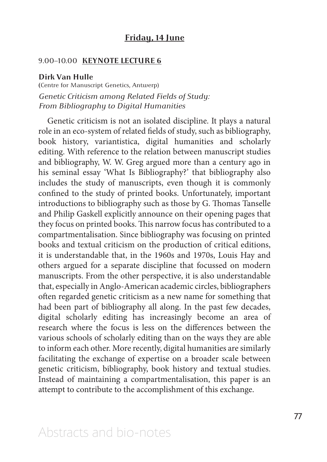## **Friday, 14 June**

### 9.00–10.00 **KEYNOTE LECTURE 6**

#### **Dirk Van Hulle**

**(**Centre for Manuscript Genetics, Antwerp) *Genetic Criticism among Related Fields of Study: From Bibliography to Digital Humanities* 

Genetic criticism is not an isolated discipline. It plays a natural role in an eco-system of related fields of study, such as bibliography, book history, variantistica, digital humanities and scholarly editing. With reference to the relation between manuscript studies and bibliography, W. W. Greg argued more than a century ago in his seminal essay 'What Is Bibliography?' that bibliography also includes the study of manuscripts, even though it is commonly confined to the study of printed books. Unfortunately, important introductions to bibliography such as those by G. Thomas Tanselle and Philip Gaskell explicitly announce on their opening pages that they focus on printed books. This narrow focus has contributed to a compartmentalisation. Since bibliography was focusing on printed books and textual criticism on the production of critical editions, it is understandable that, in the 1960s and 1970s, Louis Hay and others argued for a separate discipline that focussed on modern manuscripts. From the other perspective, it is also understandable that, especially in Anglo-American academic circles, bibliographers often regarded genetic criticism as a new name for something that had been part of bibliography all along. In the past few decades, digital scholarly editing has increasingly become an area of research where the focus is less on the differences between the various schools of scholarly editing than on the ways they are able to inform each other. More recently, digital humanities are similarly facilitating the exchange of expertise on a broader scale between genetic criticism, bibliography, book history and textual studies. Instead of maintaining a compartmentalisation, this paper is an attempt to contribute to the accomplishment of this exchange.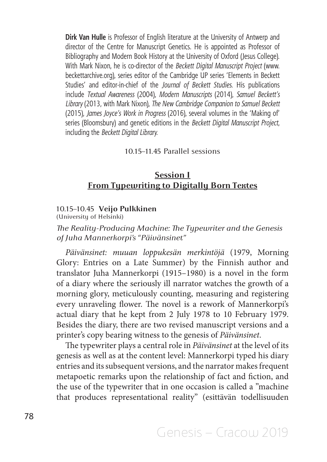**Dirk Van Hulle** is Professor of English literature at the University of Antwerp and director of the Centre for Manuscript Genetics. He is appointed as Professor of Bibliography and Modern Book History at the University of Oxford (Jesus College). With Mark Nixon, he is co-director of the *Beckett Digital Manuscript Project* (www. beckettarchive.org), series editor of the Cambridge UP series 'Elements in Beckett Studies' and editor-in-chief of the *Journal of Beckett Studies*. His publications include *Textual Awareness* (2004), *Modern Manuscripts* (2014), *Samuel Beckett's Library* (2013, with Mark Nixon), *The New Cambridge Companion to Samuel Beckett* (2015), *James Joyce's Work in Progress* (2016), several volumes in the 'Making of' series (Bloomsbury) and genetic editions in the *Beckett Digital Manuscript Project*, including the *Beckett Digital Library.*

### 10.15–11.45 Parallel sessions

## **Session I From Typewriting to Digitally Born Textes**

### 10.15–10.45 **Veijo Pulkkinen**

(University of Helsinki)

*The Reality-Producing Machine: The Typewriter and the Genesis of Juha Mannerkorpi's "Päivänsinet"*

*Päivänsinet: muuan loppukesän merkintöjä* (1979, Morning Glory: Entries on a Late Summer) by the Finnish author and translator Juha Mannerkorpi (1915–1980) is a novel in the form of a diary where the seriously ill narrator watches the growth of a morning glory, meticulously counting, measuring and registering every unraveling flower. The novel is a rework of Mannerkorpi's actual diary that he kept from 2 July 1978 to 10 February 1979. Besides the diary, there are two revised manuscript versions and a printer's copy bearing witness to the genesis of *Päivänsinet*.

The typewriter plays a central role in *Päivänsinet* at the level of its genesis as well as at the content level: Mannerkorpi typed his diary entries and its subsequent versions, and the narrator makes frequent metapoetic remarks upon the relationship of fact and fiction, and the use of the typewriter that in one occasion is called a "machine that produces representational reality" (esittävän todellisuuden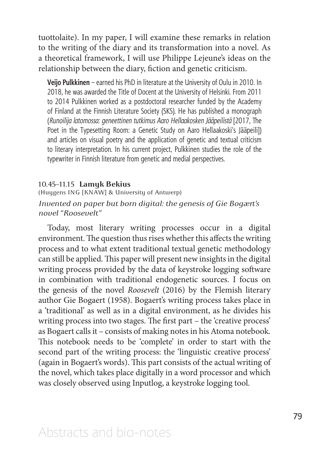tuottolaite). In my paper, I will examine these remarks in relation to the writing of the diary and its transformation into a novel. As a theoretical framework, I will use Philippe Lejeune's ideas on the relationship between the diary, fiction and genetic criticism.

**Veijo Pulkkinen** – earned his PhD in literature at the University of Oulu in 2010. In 2018, he was awarded the Title of Docent at the University of Helsinki. From 2011 to 2014 Pulkkinen worked as a postdoctoral researcher funded by the Academy of Finland at the Finnish Literature Society (SKS). He has published a monograph (*Runoilija latomossa: geneettinen tutkimus Aaro Hellaakosken Jääpeilistä* [2017, The Poet in the Typesetting Room: a Genetic Study on Aaro Hellaakoski's Jääpeili]) and articles on visual poetry and the application of genetic and textual criticism to literary interpretation. In his current project, Pulkkinen studies the role of the typewriter in Finnish literature from genetic and medial perspectives.

### 10.45–11.15 **Lamyk Bekius**

(Huygens ING [KNAW] & University of Antwerp)

## *Invented on paper but born digital: the genesis of Gie Bogaert's novel "Roosevelt"*

Today, most literary writing processes occur in a digital environment. The question thus rises whether this affects the writing process and to what extent traditional textual genetic methodology can still be applied. This paper will present new insights in the digital writing process provided by the data of keystroke logging software in combination with traditional endogenetic sources. I focus on the genesis of the novel *Roosevelt* (2016) by the Flemish literary author Gie Bogaert (1958). Bogaert's writing process takes place in a 'traditional' as well as in a digital environment, as he divides his writing process into two stages. The first part – the 'creative process' as Bogaert calls it – consists of making notes in his Atoma notebook. This notebook needs to be 'complete' in order to start with the second part of the writing process: the 'linguistic creative process' (again in Bogaert's words). This part consists of the actual writing of the novel, which takes place digitally in a word processor and which was closely observed using Inputlog, a keystroke logging tool.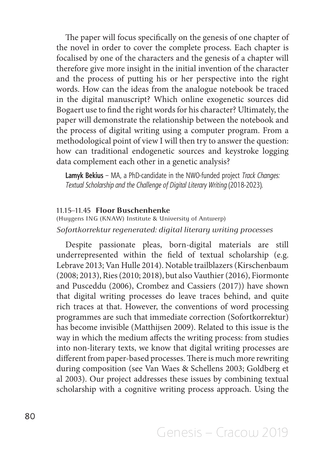The paper will focus specifically on the genesis of one chapter of the novel in order to cover the complete process. Each chapter is focalised by one of the characters and the genesis of a chapter will therefore give more insight in the initial invention of the character and the process of putting his or her perspective into the right words. How can the ideas from the analogue notebook be traced in the digital manuscript? Which online exogenetic sources did Bogaert use to find the right words for his character? Ultimately, the paper will demonstrate the relationship between the notebook and the process of digital writing using a computer program. From a methodological point of view I will then try to answer the question: how can traditional endogenetic sources and keystroke logging data complement each other in a genetic analysis?

**Lamyk Bekius** – MA, a PhD-candidate in the NWO-funded project *Track Changes: Textual Scholarship and the Challenge of Digital Literary Writing* (2018-2023).

### 11.15–11.45 **Floor Buschenhenke**

(Huygens ING (KNAW) Institute & University of Antwerp) *Sofortkorrektur regenerated: digital literary writing processes*

Despite passionate pleas, born-digital materials are still underrepresented within the field of textual scholarship (e.g. Lebrave 2013; Van Hulle 2014). Notable trailblazers (Kirschenbaum (2008; 2013), Ries (2010; 2018), but also Vauthier (2016), Fiormonte and Pusceddu (2006), Crombez and Cassiers (2017)) have shown that digital writing processes do leave traces behind, and quite rich traces at that. However, the conventions of word processing programmes are such that immediate correction (Sofortkorrektur) has become invisible (Matthijsen 2009). Related to this issue is the way in which the medium affects the writing process: from studies into non-literary texts, we know that digital writing processes are different from paper-based processes. There is much more rewriting during composition (see Van Waes & Schellens 2003; Goldberg et al 2003). Our project addresses these issues by combining textual scholarship with a cognitive writing process approach. Using the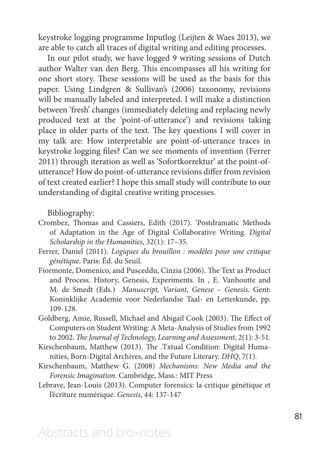keystroke logging programme Inputlog (Leijten & Waes 2013), we are able to catch all traces of digital writing and editing processes.

In our pilot study, we have logged 9 writing sessions of Dutch author Walter van den Berg. This encompasses all his writing for one short story. These sessions will be used as the basis for this paper. Using Lindgren & Sullivan's (2006) taxonomy, revisions will be manually labeled and interpreted. I will make a distinction between 'fresh' changes (immediately deleting and replacing newly produced text at the 'point-of-utterance') and revisions taking place in older parts of the text. The key questions I will cover in my talk are: How interpretable are point-of-utterance traces in keystroke logging files? Can we see moments of invention (Ferrer 2011) through iteration as well as 'Sofortkorrektur' at the point-ofutterance? How do point-of-utterance revisions differ from revision of text created earlier? I hope this small study will contribute to our understanding of digital creative writing processes.

Bibliography:

- Crombez, Thomas and Cassiers, Edith (2017). 'Postdramatic Methods of Adaptation in the Age of Digital Collaborative Writing. *Digital Scholarship in the Humanities*, 32(1): 17–35.
- Ferrer, Daniel (2011). *Logiques du brouillon : modèles pour une critique génétique*. Paris: Éd. du Seuil.
- Fiormonte, Domenico, and Pusceddu, Cinzia (2006). The Text as Product and Process. History, Genesis, Experiments. In , E. Vanhoutte and M. de Smedt (Eds.) *Manuscript, Variant, Genese* – *Genesis*. Gent: Koninklijke Academie voor Nederlandse Taal- en Letterkunde, pp. 109-128.
- Goldberg, Amie, Russell, Michael and Abigail Cook (2003). The Effect of Computers on Student Writing: A Meta-Analysis of Studies from 1992 to 2002. *The Journal of Technology, Learning and Assessment*, 2(1): 3-51.
- Kirschenbaum, Matthew (2013). The .Txtual Condition: Digital Humanities, Born-Digital Archives, and the Future Literary. *DHQ*, 7(1).
- Kirschenbaum, Matthew G. (2008) *Mechanisms: New Media and the Forensic Imagination*. Cambridge, Mass.: MIT Press
- Lebrave, Jean-Louis (2013). Computer forensics: la critique génétique et l'écriture numérique. *Genesis*, 44: 137-147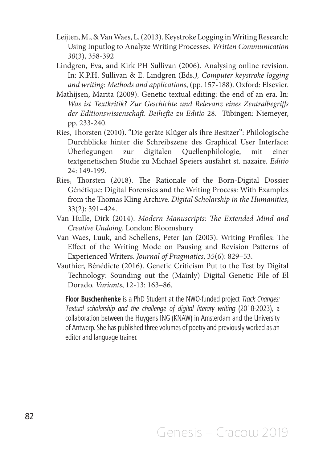- Leijten, M., & Van Waes, L. (2013). Keystroke Logging in Writing Research: Using Inputlog to Analyze Writing Processes. *Written Communication 30*(3), 358-392
- Lindgren, Eva, and Kirk PH Sullivan (2006). Analysing online revision. In: K.P.H. Sullivan & E. Lindgren (Eds*.), Computer keystroke logging and writing: Methods and applications*, (pp. 157-188). Oxford: Elsevier.
- Mathijsen, Marita (2009). Genetic textual editing: the end of an era. In: *Was ist Textkritik? Zur Geschichte und Relevanz eines Zentralbegriffs der Editionswissenschaft. Beihefte zu Editio* 28. Tübingen: Niemeyer, pp. 233-240.
- Ries, Thorsten (2010). "Die geräte Klüger als ihre Besitzer": Philologische Durchblicke hinter die Schreibszene des Graphical User Interface: Überlegungen zur digitalen Quellenphilologie, mit einer textgenetischen Studie zu Michael Speiers ausfahrt st. nazaire. *Editio* 24: 149-199.
- Ries, Thorsten (2018). The Rationale of the Born-Digital Dossier Génétique: Digital Forensics and the Writing Process: With Examples from the Thomas Kling Archive. *Digital Scholarship in the Humanities*, 33(2): 391–424.
- Van Hulle, Dirk (2014). *Modern Manuscripts: The Extended Mind and Creative Undoing*. London: Bloomsbury
- Van Waes, Luuk, and Schellens, Peter Jan (2003). Writing Profiles: The Effect of the Writing Mode on Pausing and Revision Patterns of Experienced Writers. *Journal of Pragmatics*, 35(6): 829–53.
- Vauthier, Bénédicte (2016). Genetic Criticism Put to the Test by Digital Technology: Sounding out the (Mainly) Digital Genetic File of El Dorado. *Variants*, 12-13: 163–86.

**Floor Buschenhenke** is a PhD Student at the NWO-funded project *Track Changes: Textual scholarship and the challenge of digital literary writing* (2018-2023), a collaboration between the Huygens ING (KNAW) in Amsterdam and the University of Antwerp. She has published three volumes of poetry and previously worked as an editor and language trainer.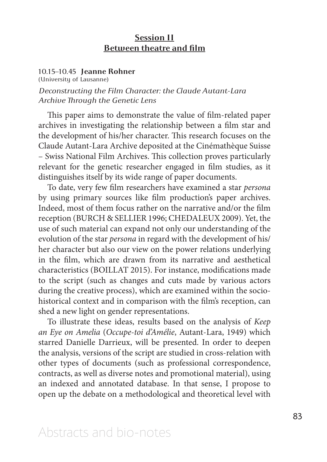## **Session II Between theatre and film**

### 10.15–10.45 **Jeanne Rohner**

(University of Lausanne)

*Deconstructing the Film Character: the Claude Autant-Lara Archive Through the Genetic Lens*

This paper aims to demonstrate the value of film-related paper archives in investigating the relationship between a film star and the development of his/her character. This research focuses on the Claude Autant-Lara Archive deposited at the Cinémathèque Suisse – Swiss National Film Archives. This collection proves particularly relevant for the genetic researcher engaged in film studies, as it distinguishes itself by its wide range of paper documents.

To date, very few film researchers have examined a star *persona*  by using primary sources like film production's paper archives. Indeed, most of them focus rather on the narrative and/or the film reception (BURCH & SELLIER 1996; CHEDALEUX 2009). Yet, the use of such material can expand not only our understanding of the evolution of the star *persona* in regard with the development of his/ her character but also our view on the power relations underlying in the film, which are drawn from its narrative and aesthetical characteristics (BOILLAT 2015). For instance, modifications made to the script (such as changes and cuts made by various actors during the creative process), which are examined within the sociohistorical context and in comparison with the film's reception, can shed a new light on gender representations.

To illustrate these ideas, results based on the analysis of *Keep an Eye on Amelia* (*Occupe-toi d'Amélie*, Autant-Lara, 1949) which starred Danielle Darrieux, will be presented. In order to deepen the analysis, versions of the script are studied in cross-relation with other types of documents (such as professional correspondence, contracts, as well as diverse notes and promotional material), using an indexed and annotated database. In that sense, I propose to open up the debate on a methodological and theoretical level with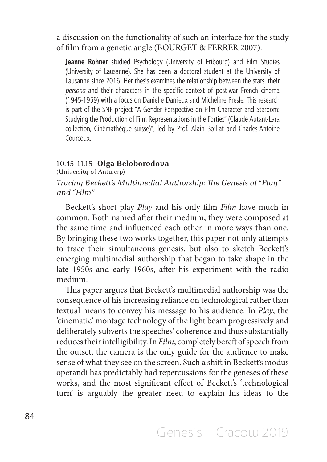a discussion on the functionality of such an interface for the study of film from a genetic angle (BOURGET & FERRER 2007).

**Jeanne Rohner** studied Psychology (University of Fribourg) and Film Studies (University of Lausanne). She has been a doctoral student at the University of Lausanne since 2016. Her thesis examines the relationship between the stars, their *persona* and their characters in the specific context of post-war French cinema (1945-1959) with a focus on Danielle Darrieux and Micheline Presle. This research is part of the SNF project "A Gender Perspective on Film Character and Stardom: Studying the Production of Film Representations in the Forties" (Claude Autant-Lara collection, Cinémathèque suisse)", led by Prof. Alain Boillat and Charles-Antoine Courcoux.

### 10.45–11.15 **Olga Beloborodova**

(University of Antwerp)

*Tracing Beckett's Multimedial Authorship: The Genesis of "Play" and "Film"*

Beckett's short play *Play* and his only film *Film* have much in common. Both named after their medium, they were composed at the same time and influenced each other in more ways than one. By bringing these two works together, this paper not only attempts to trace their simultaneous genesis, but also to sketch Beckett's emerging multimedial authorship that began to take shape in the late 1950s and early 1960s, after his experiment with the radio medium.

This paper argues that Beckett's multimedial authorship was the consequence of his increasing reliance on technological rather than textual means to convey his message to his audience. In *Play*, the 'cinematic' montage technology of the light beam progressively and deliberately subverts the speeches' coherence and thus substantially reduces their intelligibility. In *Film*, completely bereft of speech from the outset, the camera is the only guide for the audience to make sense of what they see on the screen. Such a shift in Beckett's modus operandi has predictably had repercussions for the geneses of these works, and the most significant effect of Beckett's 'technological turn' is arguably the greater need to explain his ideas to the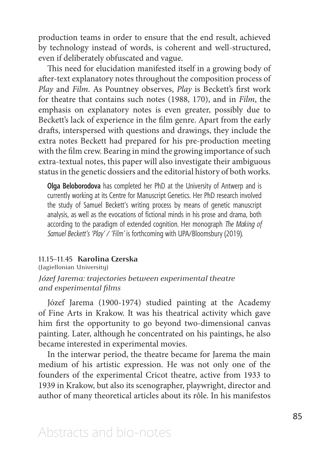production teams in order to ensure that the end result, achieved by technology instead of words, is coherent and well-structured, even if deliberately obfuscated and vague.

This need for elucidation manifested itself in a growing body of after-text explanatory notes throughout the composition process of *Play* and *Film*. As Pountney observes, *Play* is Beckett's first work for theatre that contains such notes (1988, 170), and in *Film*, the emphasis on explanatory notes is even greater, possibly due to Beckett's lack of experience in the film genre. Apart from the early drafts, interspersed with questions and drawings, they include the extra notes Beckett had prepared for his pre-production meeting with the film crew. Bearing in mind the growing importance of such extra-textual notes, this paper will also investigate their ambiguous status in the genetic dossiers and the editorial history of both works.

**Olga Beloborodova** has completed her PhD at the University of Antwerp and is currently working at its Centre for Manuscript Genetics. Her PhD research involved the study of Samuel Beckett's writing process by means of genetic manuscript analysis, as well as the evocations of fictional minds in his prose and drama, both according to the paradigm of extended cognition. Her monograph *The Making of Samuel Beckett's 'Play' / 'Film'* is forthcoming with UPA/Bloomsbury (2019).

### 11.15–11.45 **Karolina Czerska**

(Jagiellonian University) *Józef Jarema: trajectories between experimental theatre and experimental films*

Józef Jarema (1900-1974) studied painting at the Academy of Fine Arts in Krakow. It was his theatrical activity which gave him first the opportunity to go beyond two-dimensional canvas painting. Later, although he concentrated on his paintings, he also became interested in experimental movies.

In the interwar period, the theatre became for Jarema the main medium of his artistic expression. He was not only one of the founders of the experimental Cricot theatre, active from 1933 to 1939 in Krakow, but also its scenographer, playwright, director and author of many theoretical articles about its rôle. In his manifestos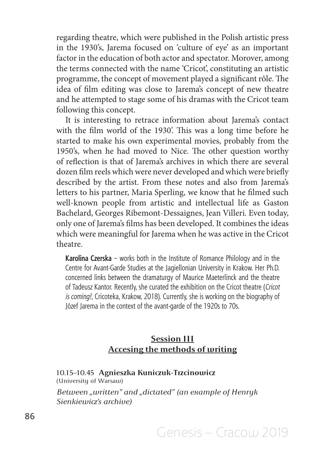regarding theatre, which were published in the Polish artistic press in the 1930's, Jarema focused on 'culture of eye' as an important factor in the education of both actor and spectator. Morover, among the terms connected with the name 'Cricot', constituting an artistic programme, the concept of movement played a significant rôle. The idea of film editing was close to Jarema's concept of new theatre and he attempted to stage some of his dramas with the Cricot team following this concept.

It is interesting to retrace information about Jarema's contact with the film world of the 1930'. This was a long time before he started to make his own experimental movies, probably from the 1950's, when he had moved to Nice. The other question worthy of reflection is that of Jarema's archives in which there are several dozen film reels which were never developed and which were briefly described by the artist. From these notes and also from Jarema's letters to his partner, Maria Sperling, we know that he filmed such well-known people from artistic and intellectual life as Gaston Bachelard, Georges Ribemont-Dessaignes, Jean Villeri. Even today, only one of Jarema's films has been developed. It combines the ideas which were meaningful for Jarema when he was active in the Cricot theatre.

**Karolina Czerska** – works both in the Institute of Romance Philology and in the Centre for Avant-Garde Studies at the Jagiellonian University in Krakow. Her Ph.D. concerned links between the dramaturgy of Maurice Maeterlinck and the theatre of Tadeusz Kantor. Recently, she curated the exhibition on the Cricot theatre (*Cricot is coming!*, Cricoteka, Krakow, 2018). Currently, she is working on the biography of Józef Jarema in the context of the avant-garde of the 1920s to 70s.

# **Session III Accesing the methods of writing**

#### 10.15–10.45 **Agnieszka Kuniczuk-Trzcinowicz**  (University of Warsaw)

*Between "written" and "dictated" (an example of Henryk Sienkiewicz's archive)*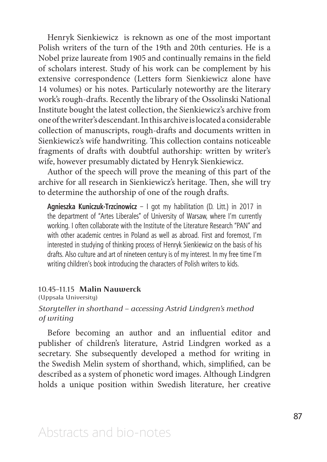Henryk Sienkiewicz is reknown as one of the most important Polish writers of the turn of the 19th and 20th centuries. He is a Nobel prize laureate from 1905 and continually remains in the field of scholars interest. Study of his work can be complement by his extensive correspondence (Letters form Sienkiewicz alone have 14 volumes) or his notes. Particularly noteworthy are the literary work's rough-drafts. Recently the library of the Ossolinski National Institute bought the latest collection, the Sienkiewicz's archive from one of the writer's descendant. In this archive is located a considerable collection of manuscripts, rough-drafts and documents written in Sienkiewicz's wife handwriting. This collection contains noticeable fragments of drafts with doubtful authorship: written by writer's wife, however presumably dictated by Henryk Sienkiewicz.

Author of the speech will prove the meaning of this part of the archive for all research in Sienkiewicz's heritage. Then, she will try to determine the authorship of one of the rough drafts.

**Agnieszka Kuniczuk-Trzcinowicz** – I got my habilitation (D. Litt.) in 2017 in the department of "Artes Liberales" of University of Warsaw, where I'm currently working. I often collaborate with the Institute of the Literature Research "PAN" and with other academic centres in Poland as well as abroad. First and foremost, I'm interested in studying of thinking process of Henryk Sienkiewicz on the basis of his drafts. Also culture and art of nineteen century is of my interest. In my free time I'm writing children's book introducing the characters of Polish writers to kids.

#### 10.45–11.15 **Malin Nauwerck**

(Uppsala University)

## *Storyteller in shorthand – accessing Astrid Lindgren's method of writing*

Before becoming an author and an influential editor and publisher of children's literature, Astrid Lindgren worked as a secretary. She subsequently developed a method for writing in the Swedish Melin system of shorthand, which, simplified, can be described as a system of phonetic word images. Although Lindgren holds a unique position within Swedish literature, her creative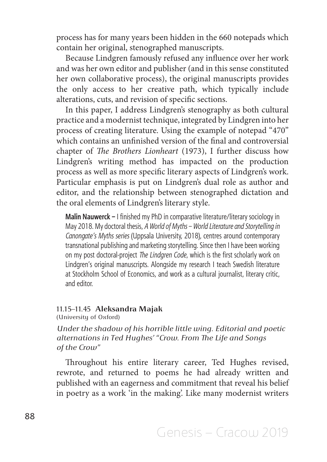process has for many years been hidden in the 660 notepads which contain her original, stenographed manuscripts.

Because Lindgren famously refused any influence over her work and was her own editor and publisher (and in this sense constituted her own collaborative process), the original manuscripts provides the only access to her creative path, which typically include alterations, cuts, and revision of specific sections.

In this paper, I address Lindgren's stenography as both cultural practice and a modernist technique, integrated by Lindgren into her process of creating literature. Using the example of notepad "470" which contains an unfinished version of the final and controversial chapter of *The Brothers Lionheart* (1973), I further discuss how Lindgren's writing method has impacted on the production process as well as more specific literary aspects of Lindgren's work. Particular emphasis is put on Lindgren's dual role as author and editor, and the relationship between stenographed dictation and the oral elements of Lindgren's literary style.

**Malin Nauwerck –** I finished my PhD in comparative literature/literary sociology in May 2018. My doctoral thesis, *A World of Myths – World Literature and Storytelling in Canongate's Myths series* (Uppsala University, 2018), centres around contemporary transnational publishing and marketing storytelling. Since then I have been working on my post doctoral-project *The Lindgren Code*, which is the first scholarly work on Lindgren's original manuscripts. Alongside my research I teach Swedish literature at Stockholm School of Economics, and work as a cultural journalist, literary critic, and editor.

### 11.15–11.45 **Aleksandra Majak**

(University of Oxford)

*Under the shadow of his horrible little wing. Editorial and poetic alternations in Ted Hughes' "Crow. From The Life and Songs of the Crow"*

Throughout his entire literary career, Ted Hughes revised, rewrote, and returned to poems he had already written and published with an eagerness and commitment that reveal his belief in poetry as a work 'in the making'. Like many modernist writers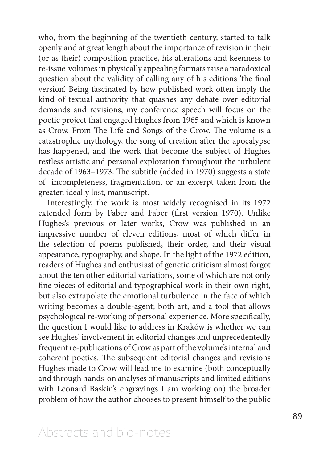who, from the beginning of the twentieth century, started to talk openly and at great length about the importance of revision in their (or as their) composition practice, his alterations and keenness to re-issue volumes in physically appealing formats raise a paradoxical question about the validity of calling any of his editions 'the final version'. Being fascinated by how published work often imply the kind of textual authority that quashes any debate over editorial demands and revisions, my conference speech will focus on the poetic project that engaged Hughes from 1965 and which is known as Crow. From The Life and Songs of the Crow. The volume is a catastrophic mythology, the song of creation after the apocalypse has happened, and the work that become the subject of Hughes restless artistic and personal exploration throughout the turbulent decade of 1963–1973. The subtitle (added in 1970) suggests a state of incompleteness, fragmentation, or an excerpt taken from the greater, ideally lost, manuscript.

Interestingly, the work is most widely recognised in its 1972 extended form by Faber and Faber (first version 1970). Unlike Hughes's previous or later works, Crow was published in an impressive number of eleven editions, most of which differ in the selection of poems published, their order, and their visual appearance, typography, and shape. In the light of the 1972 edition, readers of Hughes and enthusiast of genetic criticism almost forgot about the ten other editorial variations, some of which are not only fine pieces of editorial and typographical work in their own right, but also extrapolate the emotional turbulence in the face of which writing becomes a double-agent; both art, and a tool that allows psychological re-working of personal experience. More specifically, the question I would like to address in Kraków is whether we can see Hughes' involvement in editorial changes and unprecedentedly frequent re-publications of Crow as part of the volume's internal and coherent poetics. The subsequent editorial changes and revisions Hughes made to Crow will lead me to examine (both conceptually and through hands-on analyses of manuscripts and limited editions with Leonard Baskin's engravings I am working on) the broader problem of how the author chooses to present himself to the public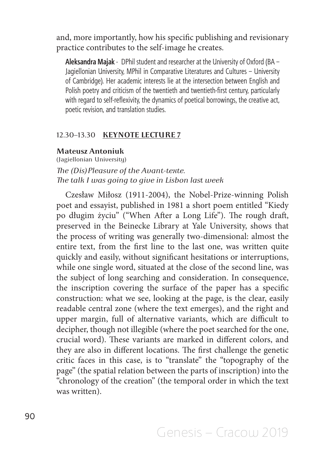and, more importantly, how his specific publishing and revisionary practice contributes to the self-image he creates.

**Aleksandra Majak** - DPhil student and researcher at the University of Oxford (BA – Jagiellonian University, MPhil in Comparative Literatures and Cultures – University of Cambridge). Her academic interests lie at the intersection between English and Polish poetry and criticism of the twentieth and twentieth-first century, particularly with regard to self-reflexivity, the dynamics of poetical borrowings, the creative act, poetic revision, and translation studies.

### 12.30–13.30 **KEYNOTE LECTURE 7**

## **Mateusz Antoniuk**

(Jagiellonian University) *The (Dis)Pleasure of the Avant-texte. The talk I was going to give in Lisbon last week* 

Czesław Miłosz (1911-2004), the Nobel-Prize-winning Polish poet and essayist, published in 1981 a short poem entitled "Kiedy po długim życiu" ("When After a Long Life"). The rough draft, preserved in the Beinecke Library at Yale University, shows that the process of writing was generally two-dimensional: almost the entire text, from the first line to the last one, was written quite quickly and easily, without significant hesitations or interruptions, while one single word, situated at the close of the second line, was the subject of long searching and consideration. In consequence, the inscription covering the surface of the paper has a specific construction: what we see, looking at the page, is the clear, easily readable central zone (where the text emerges), and the right and upper margin, full of alternative variants, which are difficult to decipher, though not illegible (where the poet searched for the one, crucial word). These variants are marked in different colors, and they are also in different locations. The first challenge the genetic critic faces in this case, is to "translate" the "topography of the page" (the spatial relation between the parts of inscription) into the "chronology of the creation" (the temporal order in which the text was written).